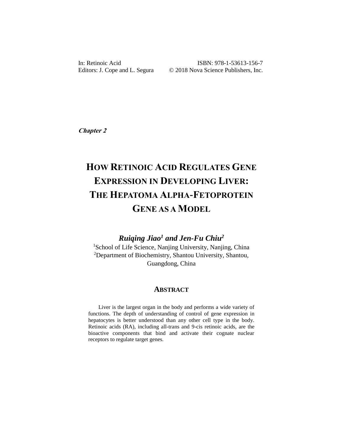ISBN: 978-1-53613-156-7 Editors: J. Cope and L. Segura  $\qquad \qquad \odot$  2018 Nova Science Publishers, Inc.

**Chapter 2**

# **HOW RETINOIC ACID REGULATES GENE EXPRESSION IN DEVELOPING LIVER: THE HEPATOMA ALPHA-FETOPROTEIN GENE AS A MODEL**

### *Ruiqing Jiao<sup>1</sup> and Jen-Fu Chiu<sup>2</sup>*

<sup>1</sup>School of Life Science, Nanjing University, Nanjing, China <sup>2</sup>Department of Biochemistry, Shantou University, Shantou, Guangdong, China

#### **ABSTRACT**

Liver is the largest organ in the body and performs a wide variety of functions. The depth of understanding of control of gene expression in hepatocytes is better understood than any other cell type in the body. Retinoic acids (RA), including all-trans and 9-cis retinoic acids, are the bioactive components that bind and activate their cognate nuclear receptors to regulate target genes.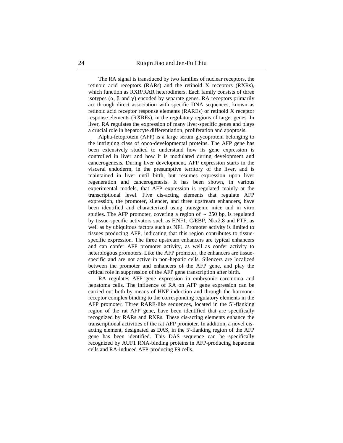The RA signal is transduced by two families of nuclear receptors, the retinoic acid receptors (RARs) and the retinoid X receptors (RXRs), which function as RXR/RAR heterodimers. Each family consists of three isotypes  $(α, β \text{ and } γ)$  encoded by separate genes. RA receptors primarily act through direct association with specific DNA sequences, known as retinoic acid receptor response elements (RAREs) or retinoid X receptor response elements (RXREs), in the regulatory regions of target genes. In liver, RA regulates the expression of many liver-specific genes and plays a crucial role in hepatocyte differentiation, proliferation and apoptosis.

Alpha-fetoprotein (AFP) is a large serum glycoprotein belonging to the intriguing class of onco-developmental proteins. The AFP gene has been extensively studied to understand how its gene expression is controlled in liver and how it is modulated during development and cancerogenesis. During liver development, AFP expression starts in the visceral endoderm, in the presumptive territory of the liver, and is maintained in liver until birth, but resumes expression upon liver regeneration and cancerogenesis. It has been shown, in various experimental models, that AFP expression is regulated mainly at the transcriptional level. Five cis-acting elements that regulate AFP expression, the promoter, silencer, and three upstream enhancers, have been identified and characterized using transgenic mice and in vitro studies. The AFP promoter, covering a region of  $\sim$  250 bp, is regulated by tissue-specific activators such as HNF1, C/EBP, Nkx2.8 and FTF, as well as by ubiquitous factors such as NF1. Promoter activity is limited to tissues producing AFP, indicating that this region contributes to tissuespecific expression. The three upstream enhancers are typical enhancers and can confer AFP promoter activity, as well as confer activity to heterologous promoters. Like the AFP promoter, the enhancers are tissuespecific and are not active in non-hepatic cells. Silencers are localized between the promoter and enhancers of the AFP gene, and play the critical role in suppression of the AFP gene transcription after birth.

RA regulates AFP gene expression in embryonic carcinoma and hepatoma cells. The influence of RA on AFP gene expression can be carried out both by means of HNF induction and through the hormonereceptor complex binding to the corresponding regulatory elements in the AFP promoter. Three RARE-like sequences, located in the 5´-flanking region of the rat AFP gene, have been identified that are specifically recognized by RARs and RXRs. These cis-acting elements enhance the transcriptional activities of the rat AFP promoter. In addition, a novel cisacting element, designated as DAS, in the 5'-flanking region of the AFP gene has been identified. This DAS sequence can be specifically recognized by AUF1 RNA-binding proteins in AFP-producing hepatoma cells and RA-induced AFP-producing F9 cells.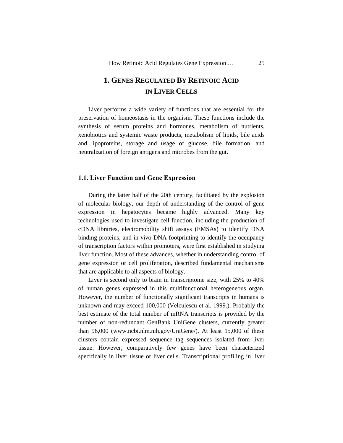## **1. GENES REGULATED BY RETINOIC ACID IN LIVER CELLS**

Liver performs a wide variety of functions that are essential for the preservation of homeostasis in the organism. These functions include the synthesis of serum proteins and hormones, metabolism of nutrients, xenobiotics and systemic waste products, metabolism of lipids, bile acids and lipoproteins, storage and usage of glucose, bile formation, and neutralization of foreign antigens and microbes from the gut.

#### **1.1. Liver Function and Gene Expression**

During the latter half of the 20th century, facilitated by the explosion of molecular biology, our depth of understanding of the control of gene expression in hepatocytes became highly advanced. Many key technologies used to investigate cell function, including the production of cDNA libraries, electromobility shift assays (EMSAs) to identify DNA binding proteins, and in vivo DNA footprinting to identify the occupancy of transcription factors within promoters, were first established in studying liver function. Most of these advances, whether in understanding control of gene expression or cell proliferation, described fundamental mechanisms that are applicable to all aspects of biology.

Liver is second only to brain in transcriptome size, with 25% to 40% of human genes expressed in this multifunctional heterogeneous organ. However, the number of functionally significant transcripts in humans is unknown and may exceed 100,000 (Velculescu et al. 1999.). Probably the best estimate of the total number of mRNA transcripts is provided by the number of non-redundant GenBank UniGene clusters, currently greater than 96,000 (www.ncbi.nlm.nih.gov/UniGene/). At least 15,000 of these clusters contain expressed sequence tag sequences isolated from liver tissue. However, comparatively few genes have been characterized specifically in liver tissue or liver cells. Transcriptional profiling in liver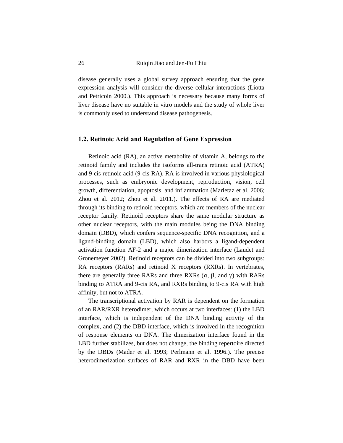disease generally uses a global survey approach ensuring that the gene expression analysis will consider the diverse cellular interactions (Liotta and Petricoin 2000.). This approach is necessary because many forms of liver disease have no suitable in vitro models and the study of whole liver is commonly used to understand disease pathogenesis.

#### **1.2. Retinoic Acid and Regulation of Gene Expression**

Retinoic acid (RA), an active metabolite of vitamin A, belongs to the retinoid family and includes the isoforms all-trans retinoic acid (ATRA) and 9-cis retinoic acid (9-cis-RA). RA is involved in various physiological processes, such as embryonic development, reproduction, vision, cell growth, differentiation, apoptosis, and inflammation (Marletaz et al. 2006; Zhou et al. 2012; Zhou et al. 2011.). The effects of RA are mediated through its binding to retinoid receptors, which are members of the nuclear receptor family. Retinoid receptors share the same modular structure as other nuclear receptors, with the main modules being the DNA binding domain (DBD), which confers sequence-specific DNA recognition, and a ligand-binding domain (LBD), which also harbors a ligand-dependent activation function AF-2 and a major dimerization interface (Laudet and Gronemeyer 2002). Retinoid receptors can be divided into two subgroups: RA receptors (RARs) and retinoid X receptors (RXRs). In vertebrates, there are generally three RARs and three RXRs  $(α, β, and γ)$  with RARs binding to ATRA and 9-cis RA, and RXRs binding to 9-cis RA with high affinity, but not to ATRA.

The transcriptional activation by RAR is dependent on the formation of an RAR/RXR heterodimer, which occurs at two interfaces: (1) the LBD interface, which is independent of the DNA binding activity of the complex, and (2) the DBD interface, which is involved in the recognition of response elements on DNA. The dimerization interface found in the LBD further stabilizes, but does not change, the binding repertoire directed by the DBDs (Mader et al. 1993; Perlmann et al. 1996.). The precise heterodimerization surfaces of RAR and RXR in the DBD have been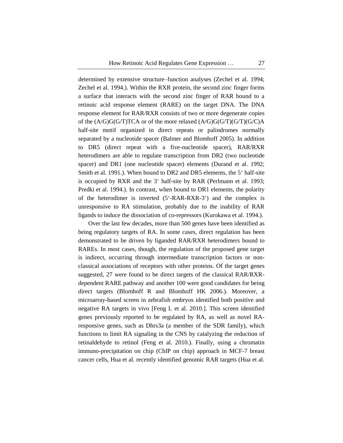determined by extensive structure–function analyses (Zechel et al. 1994; Zechel et al. 1994.). Within the RXR protein, the second zinc finger forms a surface that interacts with the second zinc finger of RAR bound to a retinoic acid response element (RARE) on the target DNA. The DNA response element for RAR/RXR consists of two or more degenerate copies of the (A/G)G(G/T)TCA or of the more relaxed (A/G)G(G/T)(G/T)(G/C)A half-site motif organized in direct repeats or palindromes normally separated by a nucleotide spacer (Balmer and Blomhoff 2005). In addition to DR5 (direct repeat with a five-nucleotide spacer), RAR/RXR heterodimers are able to regulate transcription from DR2 (two nucleotide spacer) and DR1 (one nucleotide spacer) elements (Durand et al. 1992; Smith et al. 1991.). When bound to DR2 and DR5 elements, the 5' half-site is occupied by RXR and the 3' half-site by RAR (Perlmann et al. 1993; Predki et al. 1994.). In contrast, when bound to DR1 elements, the polarity of the heterodimer is inverted (5'-RAR-RXR-3') and the complex is unresponsive to RA stimulation, probably due to the inability of RAR ligands to induce the dissociation of co-repressors (Kurokawa et al. 1994.).

Over the last few decades, more than 500 genes have been identified as being regulatory targets of RA. In some cases, direct regulation has been demonstrated to be driven by liganded RAR/RXR heterodimers bound to RAREs. In most cases, though, the regulation of the proposed gene target is indirect, occurring through intermediate transcription factors or nonclassical associations of receptors with other proteins. Of the target genes suggested, 27 were found to be direct targets of the classical RAR/RXRdependent RARE pathway and another 100 were good candidates for being direct targets (Blomhoff R and Blomhoff HK 2006.). Moreover, a microarray-based screen in zebrafish embryos identified both positive and negative RA targets in vivo [Feng L et al. 2010.]. This screen identified genes previously reported to be regulated by RA, as well as novel RAresponsive genes, such as Dhrs3a (a member of the SDR family), which functions to limit RA signaling in the CNS by catalyzing the reduction of retinaldehyde to retinol (Feng et al. 2010.). Finally, using a chromatin immuno-precipitation on chip (ChIP on chip) approach in MCF-7 breast cancer cells, Hua et al. recently identified genomic RAR targets (Hua et al.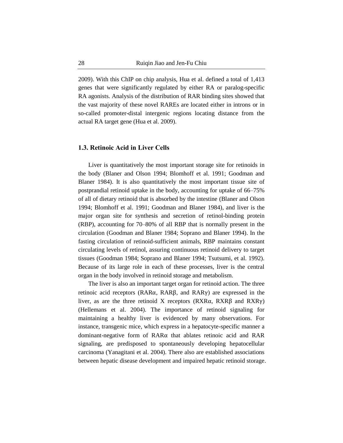2009). With this ChIP on chip analysis, Hua et al. defined a total of 1,413 genes that were significantly regulated by either RA or paralog-specific RA agonists. Analysis of the distribution of RAR binding sites showed that the vast majority of these novel RAREs are located either in introns or in so-called promoter-distal intergenic regions locating distance from the actual RA target gene (Hua et al. 2009).

#### **1.3. Retinoic Acid in Liver Cells**

Liver is quantitatively the most important storage site for retinoids in the body (Blaner and Olson 1994; Blomhoff et al. 1991; Goodman and Blaner 1984). It is also quantitatively the most important tissue site of postprandial retinoid uptake in the body, accounting for uptake of 66–75% of all of dietary retinoid that is absorbed by the intestine (Blaner and Olson 1994; Blomhoff et al. 1991; Goodman and Blaner 1984), and liver is the major organ site for synthesis and secretion of retinol-binding protein (RBP), accounting for 70–80% of all RBP that is normally present in the circulation (Goodman and Blaner 1984; Soprano and Blaner 1994). In the fasting circulation of retinoid-sufficient animals, RBP maintains constant circulating levels of retinol, assuring continuous retinoid delivery to target tissues (Goodman 1984; Soprano and Blaner 1994; Tsutsumi, et al. 1992). Because of its large role in each of these processes, liver is the central organ in the body involved in retinoid storage and metabolism.

The liver is also an important target organ for retinoid action. The three retinoic acid receptors (RARα, RARβ, and RARγ) are expressed in the liver, as are the three retinoid X receptors (RXRα, RXRβ and RXRγ) (Hellemans et al. 2004). The importance of retinoid signaling for maintaining a healthy liver is evidenced by many observations. For instance, transgenic mice, which express in a hepatocyte-specific manner a dominant-negative form of RARα that ablates retinoic acid and RAR signaling, are predisposed to spontaneously developing hepatocellular carcinoma (Yanagitani et al. 2004). There also are established associations between hepatic disease development and impaired hepatic retinoid storage.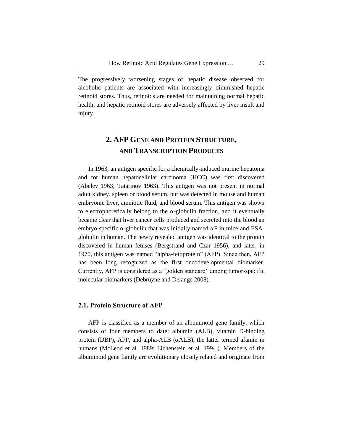The progressively worsening stages of hepatic disease observed for alcoholic patients are associated with increasingly diminished hepatic retinoid stores. Thus, retinoids are needed for maintaining normal hepatic health, and hepatic retinoid stores are adversely affected by liver insult and injury.

# **2. AFP GENE AND PROTEIN STRUCTURE, AND TRANSCRIPTION PRODUCTS**

In 1963, an antigen specific for a chemically-induced murine hepatoma and for human hepatocellular carcinoma (HCC) was first discovered (Abelev 1963; Tatarinov 1963). This antigen was not present in normal adult kidney, spleen or blood serum, but was detected in mouse and human embryonic liver, amniotic fluid, and blood serum. This antigen was shown to electrophoretically belong to the  $\alpha$ -globulin fraction, and it eventually became clear that liver cancer cells produced and secreted into the blood an embryo-specific  $\alpha$ -globulin that was initially named  $\alpha$ F in mice and ESAglobulin in human. The newly revealed antigen was identical to the protein discovered in human fetuses (Bergstrand and Czar 1956), and later, in 1970, this antigen was named "alpha-fetoprotein" (AFP). Since then, AFP has been long recognized as the first oncodevelopmental biomarker. Currently, AFP is considered as a "golden standard" among tumor-specific molecular biomarkers (Debruyne and Delange 2008).

#### **2.1. Protein Structure of AFP**

AFP is classified as a member of an albuminoid gene family, which consists of four members to date: albumin (ALB), vitamin D-binding protein (DBP), AFP, and alpha-ALB (αALB), the latter termed afamin in humans (McLeod et al. 1989; Lichenstein et al. 1994.). Members of the albuminoid gene family are evolutionary closely related and originate from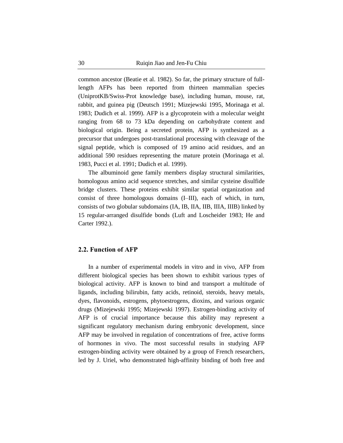common ancestor (Beatie et al. 1982). So far, the primary structure of fulllength AFPs has been reported from thirteen mammalian species (UniprotKB/Swiss-Prot knowledge base), including human, mouse, rat, rabbit, and guinea pig (Deutsch 1991; Mizejewski 1995, Morinaga et al. 1983; Dudich et al. 1999). AFP is a glycoprotein with a molecular weight ranging from 68 to 73 kDa depending on carbohydrate content and biological origin. Being a secreted protein, AFP is synthesized as a precursor that undergoes post-translational processing with cleavage of the signal peptide, which is composed of 19 amino acid residues, and an additional 590 residues representing the mature protein (Morinaga et al. 1983, Pucci et al. 1991; Dudich et al. 1999).

The albuminoid gene family members display structural similarities, homologous amino acid sequence stretches, and similar cysteine disulfide bridge clusters. These proteins exhibit similar spatial organization and consist of three homologous domains (I–III), each of which, in turn, consists of two globular subdomains (IA, IB, IIA, IIB, IIIA, IIIB) linked by 15 regular-arranged disulfide bonds (Luft and Loscheider 1983; He and Carter 1992.).

#### **2.2. Function of AFP**

In a number of experimental models in vitro and in vivo, AFP from different biological species has been shown to exhibit various types of biological activity. AFP is known to bind and transport a multitude of ligands, including bilirubin, fatty acids, retinoid, steroids, heavy metals, dyes, flavonoids, estrogens, phytoestrogens, dioxins, and various organic drugs (Mizejewski 1995; Mizejewski 1997). Estrogen-binding activity of AFP is of crucial importance because this ability may represent a significant regulatory mechanism during embryonic development, since AFP may be involved in regulation of concentrations of free, active forms of hormones in vivo. The most successful results in studying AFP estrogen-binding activity were obtained by a group of French researchers, led by J. Uriel, who demonstrated high-affinity binding of both free and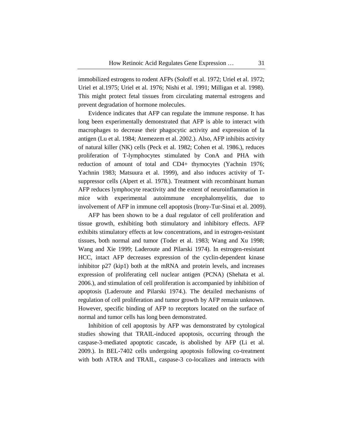immobilized estrogens to rodent AFPs (Soloff et al. 1972; Uriel et al. 1972; Uriel et al.1975; Uriel et al. 1976; Nishi et al. 1991; Milligan et al. 1998). This might protect fetal tissues from circulating maternal estrogens and prevent degradation of hormone molecules.

Evidence indicates that AFP can regulate the immune response. It has long been experimentally demonstrated that AFP is able to interact with macrophages to decrease their phagocytic activity and expression of Ia antigen (Lu et al. 1984; Atemezem et al. 2002.). Also, AFP inhibits activity of natural killer (NK) cells (Peck et al. 1982; Cohen et al. 1986.), reduces proliferation of T-lymphocytes stimulated by ConA and PHA with reduction of amount of total and CD4+ thymocytes (Yachnin 1976; Yachnin 1983; Matsuura et al. 1999), and also induces activity of Tsuppressor cells (Alpert et al. 1978.). Treatment with recombinant human AFP reduces lymphocyte reactivity and the extent of neuroinflammation in mice with experimental autoimmune encephalomyelitis, due to involvement of AFP in immune cell apoptosis (Irony-Tur-Sinai et al. 2009).

AFP has been shown to be a dual regulator of cell proliferation and tissue growth, exhibiting both stimulatory and inhibitory effects. AFP exhibits stimulatory effects at low concentrations, and in estrogen-resistant tissues, both normal and tumor (Toder et al. 1983; Wang and Xu 1998; Wang and Xie 1999; Laderoute and Pilarski 1974). In estrogen-resistant HCC, intact AFP decreases expression of the cyclin-dependent kinase inhibitor p27 (kip1) both at the mRNA and protein levels, and increases expression of proliferating cell nuclear antigen (PCNA) (Shehata et al. 2006.), and stimulation of cell proliferation is accompanied by inhibition of apoptosis (Laderoute and Pilarski 1974.). The detailed mechanisms of regulation of cell proliferation and tumor growth by AFP remain unknown. However, specific binding of AFP to receptors located on the surface of normal and tumor cells has long been demonstrated.

Inhibition of cell apoptosis by AFP was demonstrated by cytological studies showing that TRAIL-induced apoptosis, occurring through the caspase-3-mediated apoptotic cascade, is abolished by AFP (Li et al. 2009.). In BEL-7402 cells undergoing apoptosis following co-treatment with both ATRA and TRAIL, caspase-3 co-localizes and interacts with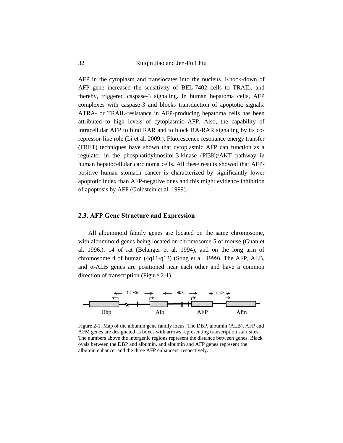AFP in the cytoplasm and translocates into the nucleus. Knock-down of AFP gene increased the sensitivity of BEL-7402 cells to TRAIL, and thereby, triggered caspase-3 signaling. In human hepatoma cells, AFP complexes with caspase-3 and blocks transduction of apoptotic signals. ATRA- or TRAIL-resistance in AFP-producing hepatoma cells has been attributed to high levels of cytoplasmic AFP. Also, the capability of intracellular AFP to bind RAR and to block RA-RAR signaling by its corepressor-like role (Li et al. 2009.). Fluorescence resonance energy transfer (FRET) techniques have shown that cytoplasmic AFP can function as a regulator in the phosphatidylinositol-3-kinase (PI3K)/AKT pathway in human hepatocellular carcinoma cells. All these results showed that AFPpositive human stomach cancer is characterized by significantly lower apoptotic index than AFP-negative ones and this might evidence inhibition of apoptosis by AFP (Goldstein et al. 1999).

#### **2.3. AFP Gene Structure and Expression**

All albuminoid family genes are located on the same chromosome, with albuminoid genes being located on chromosome 5 of mouse (Guan et al. 1996.), 14 of rat (Belanger et al. 1994), and on the long arm of chromosome 4 of human (4q11-q13) (Song et al. 1999). The AFP, ALB, and  $\alpha$ -ALB genes are positioned near each other and have a common direction of transcription (Figure 2-1).



Figure 2-1. Map of the albumin gene family locus. The DBP, albumin (ALB), AFP and AFM genes are designated as boxes with arrows representing transcription start sites. The numbers above the intergenic regions represent the distance between genes. Black ovals between the DBP and albumin, and albumin and AFP genes represent the albumin enhancer and the three AFP enhancers, respectively.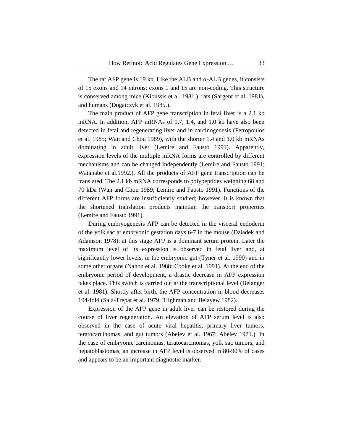The rat AFP gene is 19 kb. Like the ALB and  $\alpha$ -ALB genes, it consists of 15 exons and 14 introns; exons 1 and 15 are non-coding. This structure is conserved among mice (Kioussis et al. 1981.), rats (Sargent et al. 1981), and humans (Dugaiczyk et al. 1985.).

The main product of AFP gene transcription in fetal liver is a 2.1 kb mRNA. In addition, AFP mRNAs of 1.7, 1.4, and 1.0 kb have also been detected in fetal and regenerating liver and in carcinogenesis (Petropoulos et al. 1985; Wan and Chou 1989), with the shorter 1.4 and 1.0 kb mRNAs dominating in adult liver (Lemire and Fausto 1991). Apparently, expression levels of the multiple mRNA forms are controlled by different mechanisms and can be changed independently (Lemire and Fausto 1991; Watanabe et al.1992.). All the products of AFP gene transcription can be translated. The 2.1 kb mRNA corresponds to polypeptides weighing 68 and 70 kDa (Wan and Chou 1989; Lemire and Fausto 1991). Functions of the different AFP forms are insufficiently studied; however, it is known that the shortened translation products maintain the transport properties (Lemire and Fausto 1991).

During embryogenesis AFP can be detected in the visceral endoderm of the yolk sac at embryonic gestation days 6-7 in the mouse (Dziadek and Adamson 1978); at this stage AFP is a dominant serum protein. Later the maximum level of its expression is observed in fetal liver and, at significantly lower levels, in the embryonic gut (Tyner et al. 1990) and in some other organs (Nahon et al. 1988; Cooke et al. 1991). At the end of the embryonic period of development, a drastic decrease in AFP expression takes place. This switch is carried out at the transcriptional level (Belanger et al. 1981). Shortly after birth, the AFP concentration in blood decreases 104-fold (Sala-Trepat et al. 1979; Tilghman and Belayew 1982).

Expression of the AFP gene in adult liver can be restored during the course of liver regeneration. An elevation of AFP serum level is also observed in the case of acute viral hepatitis, primary liver tumors, teratocarcinomas, and gut tumors (Abelev et al. 1967; Abelev 1971.). In the case of embryonic carcinomas, teratocarcinomas, yolk sac tumors, and hepatoblastomas, an increase in AFP level is observed in 80-90% of cases and appears to be an important diagnostic marker.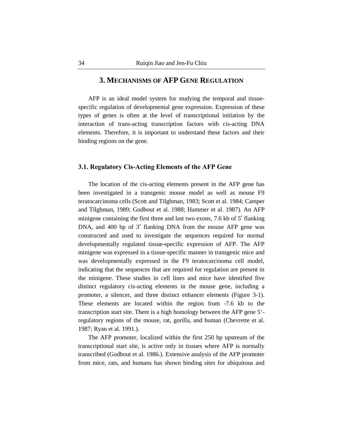### **3. MECHANISMS OF AFP GENE REGULATION**

AFP is an ideal model system for studying the temporal and tissuespecific regulation of developmental gene expression. Expression of these types of genes is often at the level of transcriptional initiation by the interaction of trans-acting transcription factors with cis-acting DNA elements. Therefore, it is important to understand these factors and their binding regions on the gene.

#### **3.1. Regulatory Cis-Acting Elements of the AFP Gene**

The location of the cis-acting elements present in the AFP gene has been investigated in a transgenic mouse model as well as mouse F9 teratocarcinoma cells (Scott and Tilghman, 1983; Scott et al. 1984; Camper and Tilghman, 1989; Godbout et al. 1988; Hammer et al. 1987). An AFP minigene containing the first three and last two exons, 7.6 kb of 5′ flanking DNA, and 400 bp of 3' flanking DNA from the mouse AFP gene was constructed and used to investigate the sequences required for normal developmentally regulated tissue-specific expression of AFP. The AFP minigene was expressed in a tissue-specific manner in transgenic mice and was developmentally expressed in the F9 teratocarcinoma cell model, indicating that the sequences that are required for regulation are present in the minigene. These studies in cell lines and mice have identified five distinct regulatory cis-acting elements in the mouse gene, including a promoter, a silencer, and three distinct enhancer elements (Figure 3-1). These elements are located within the region from -7.6 kb to the transcription start site. There is a high homology between the AFP gene 5' regulatory regions of the mouse, rat, gorilla, and human (Chevrette et al. 1987; Ryan et al. 1991.).

The AFP promoter, localized within the first 250 bp upstream of the transcriptional start site, is active only in tissues where AFP is normally transcribed (Godbout et al. 1986.). Extensive analysis of the AFP promoter from mice, rats, and humans has shown binding sites for ubiquitous and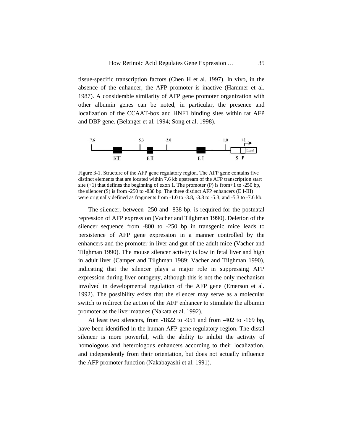tissue-specific transcription factors (Chen H et al. 1997). In vivo, in the absence of the enhancer, the AFP promoter is inactive (Hammer et al. 1987). A considerable similarity of AFP gene promoter organization with other albumin genes can be noted, in particular, the presence and localization of the CCAAT-box and HNF1 binding sites within rat AFP and DBP gene. (Belanger et al. 1994; Song et al. 1998).



Figure 3-1. Structure of the AFP gene regulatory region. The AFP gene contains five distinct elements that are located within 7.6 kb upstream of the AFP transcription start site  $(+1)$  that defines the beginning of exon 1. The promoter (P) is from +1 to -250 bp, the silencer (S) is from -250 to -838 bp. The three distinct AFP enhancers (E I-III) were originally defined as fragments from -1.0 to -3.8, -3.8 to -5.3, and -5.3 to -7.6 kb.

The silencer, between -250 and -838 bp, is required for the postnatal repression of AFP expression (Vacher and Tilghman 1990). Deletion of the silencer sequence from -800 to -250 bp in transgenic mice leads to persistence of AFP gene expression in a manner controlled by the enhancers and the promoter in liver and gut of the adult mice (Vacher and Tilghman 1990). The mouse silencer activity is low in fetal liver and high in adult liver (Camper and Tilghman 1989; Vacher and Tilghman 1990), indicating that the silencer plays a major role in suppressing AFP expression during liver ontogeny, although this is not the only mechanism involved in developmental regulation of the AFP gene (Emerson et al. 1992). The possibility exists that the silencer may serve as a molecular switch to redirect the action of the AFP enhancer to stimulate the albumin promoter as the liver matures (Nakata et al. 1992).

At least two silencers, from -1822 to -951 and from -402 to -169 bp, have been identified in the human AFP gene regulatory region. The distal silencer is more powerful, with the ability to inhibit the activity of homologous and heterologous enhancers according to their localization, and independently from their orientation, but does not actually influence the AFP promoter function (Nakabayashi et al. 1991).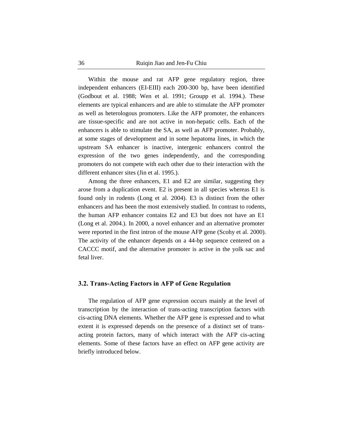Within the mouse and rat AFP gene regulatory region, three independent enhancers (EI-EIII) each 200-300 bp, have been identified (Godbout et al. 1988; Wen et al. 1991; Groupp et al. 1994.). These elements are typical enhancers and are able to stimulate the AFP promoter as well as heterologous promoters. Like the AFP promoter, the enhancers are tissue-specific and are not active in non-hepatic cells. Each of the enhancers is able to stimulate the SA, as well as AFP promoter. Probably, at some stages of development and in some hepatoma lines, in which the upstream SA enhancer is inactive, intergenic enhancers control the expression of the two genes independently, and the corresponding promoters do not compete with each other due to their interaction with the different enhancer sites (Jin et al. 1995.).

Among the three enhancers, E1 and E2 are similar, suggesting they arose from a duplication event. E2 is present in all species whereas E1 is found only in rodents (Long et al. 2004). E3 is distinct from the other enhancers and has been the most extensively studied. In contrast to rodents, the human AFP enhancer contains E2 and E3 but does not have an E1 (Long et al. 2004.). In 2000, a novel enhancer and an alternative promoter were reported in the first intron of the mouse AFP gene (Scohy et al. 2000). The activity of the enhancer depends on a 44-bp sequence centered on a CACCC motif, and the alternative promoter is active in the yolk sac and fetal liver.

#### **3.2. Trans-Acting Factors in AFP of Gene Regulation**

The regulation of AFP gene expression occurs mainly at the level of transcription by the interaction of trans-acting transcription factors with cis-acting DNA elements. Whether the AFP gene is expressed and to what extent it is expressed depends on the presence of a distinct set of transacting protein factors, many of which interact with the AFP cis-acting elements. Some of these factors have an effect on AFP gene activity are briefly introduced below.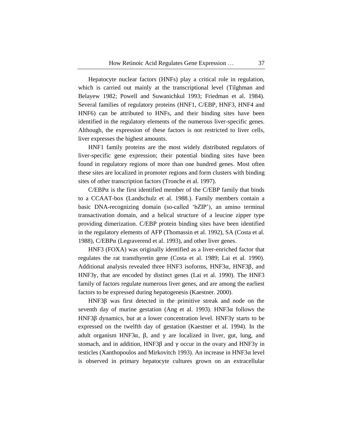Hepatocyte nuclear factors (HNFs) play a critical role in regulation, which is carried out mainly at the transcriptional level (Tilghman and Belayew 1982; Powell and Suwanichkul 1993; Friedman et al. 1984). Several families of regulatory proteins (HNF1, C/EBP, HNF3, HNF4 and HNF6) can be attributed to HNFs, and their binding sites have been identified in the regulatory elements of the numerous liver-specific genes. Although, the expression of these factors is not restricted to liver cells, liver expresses the highest amounts.

HNF1 family proteins are the most widely distributed regulators of liver-specific gene expression; their potential binding sites have been found in regulatory regions of more than one hundred genes. Most often these sites are localized in promoter regions and form clusters with binding sites of other transcription factors (Tronche et al. 1997).

 $C/EBP\alpha$  is the first identified member of the C/EBP family that binds to a CCAAT-box (Landschulz et al. 1988.). Family members contain a basic DNA-recognizing domain (so-called 'bZIP'), an amino terminal transactivation domain, and a helical structure of a leucine zipper type providing dimerization. C/EBP protein binding sites have been identified in the regulatory elements of AFP (Thomassin et al. 1992), SA (Costa et al. 1988), C/EBPα (Legraverend et al. 1993), and other liver genes.

HNF3 (FOXA) was originally identified as a liver-enriched factor that regulates the rat transthyretin gene (Costa et al. 1989; Lai et al. 1990). Additional analysis revealed three HNF3 isoforms, HNF3α, HNF3β, and HNF3γ, that are encoded by distinct genes (Lai et al. 1990). The HNF3 family of factors regulate numerous liver genes, and are among the earliest factors to be expressed during hepatogenesis (Kaestner. 2000).

HNF3β was first detected in the primitive streak and node on the seventh day of murine gestation (Ang et al. 1993). HNF3 $\alpha$  follows the HNF3β dynamics, but at a lower concentration level. HNF3γ starts to be expressed on the twelfth day of gestation (Kaestner et al. 1994). In the adult organism HNF3 $\alpha$ ,  $\beta$ , and  $\gamma$  are localized in liver, gut, lung, and stomach, and in addition, HNF3 $\beta$  and  $\gamma$  occur in the ovary and HNF3 $\gamma$  in testicles (Xanthopoulos and Mirkovitch 1993). An increase in HNF3α level is observed in primary hepatocyte cultures grown on an extracellular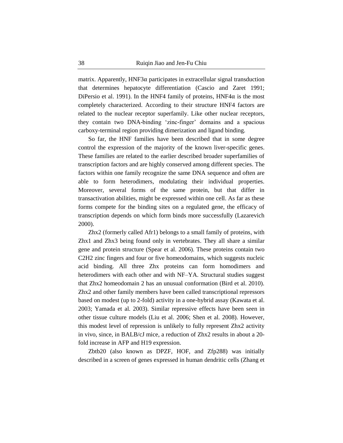matrix. Apparently,  $HNF3\alpha$  participates in extracellular signal transduction that determines hepatocyte differentiation (Cascio and Zaret 1991; DiPersio et al. 1991). In the HNF4 family of proteins,  $HNF4\alpha$  is the most completely characterized. According to their structure HNF4 factors are related to the nuclear receptor superfamily. Like other nuclear receptors, they contain two DNA-binding 'zinc-finger' domains and a spacious carboxy-terminal region providing dimerization and ligand binding.

So far, the HNF families have been described that in some degree control the expression of the majority of the known liver-specific genes. These families are related to the earlier described broader superfamilies of transcription factors and are highly conserved among different species. The factors within one family recognize the same DNA sequence and often are able to form heterodimers, modulating their individual properties. Moreover, several forms of the same protein, but that differ in transactivation abilities, might be expressed within one cell. As far as these forms compete for the binding sites on a regulated gene, the efficacy of transcription depends on which form binds more successfully (Lazarevich 2000).

Zhx2 (formerly called Afr1) belongs to a small family of proteins, with Zhx1 and Zhx3 being found only in vertebrates. They all share a similar gene and protein structure (Spear et al. 2006). These proteins contain two C2H2 zinc fingers and four or five homeodomains, which suggests nucleic acid binding. All three Zhx proteins can form homodimers and heterodimers with each other and with NF–YA. Structural studies suggest that Zhx2 homeodomain 2 has an unusual conformation (Bird et al. 2010). Zhx2 and other family members have been called transcriptional repressors based on modest (up to 2-fold) activity in a one-hybrid assay (Kawata et al. 2003; Yamada et al. 2003). Similar repressive effects have been seen in other tissue culture models (Liu et al. 2006; Shen et al. 2008). However, this modest level of repression is unlikely to fully represent Zhx2 activity in vivo, since, in BALB/cJ mice, a reduction of Zhx2 results in about a 20 fold increase in AFP and H19 expression.

Zbtb20 (also known as DPZF, HOF, and Zfp288) was initially described in a screen of genes expressed in human dendritic cells (Zhang et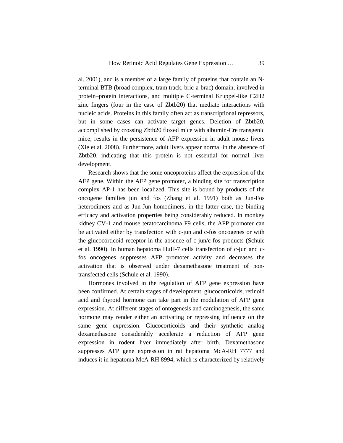al. 2001), and is a member of a large family of proteins that contain an Nterminal BTB (broad complex, tram track, bric-a-brac) domain, involved in protein–protein interactions, and multiple C-terminal Kruppel-like C2H2 zinc fingers (four in the case of Zbtb20) that mediate interactions with nucleic acids. Proteins in this family often act as transcriptional repressors, but in some cases can activate target genes. Deletion of Zbtb20, accomplished by crossing Zbtb20 floxed mice with albumin-Cre transgenic mice, results in the persistence of AFP expression in adult mouse livers (Xie et al. 2008). Furthermore, adult livers appear normal in the absence of Zbtb20, indicating that this protein is not essential for normal liver development.

Research shows that the some oncoproteins affect the expression of the AFP gene. Within the AFP gene promoter, a binding site for transcription complex AP-1 has been localized. This site is bound by products of the oncogene families jun and fos (Zhang et al. 1991) both as Jun-Fos heterodimers and as Jun-Jun homodimers, in the latter case, the binding efficacy and activation properties being considerably reduced. In monkey kidney CV-1 and mouse teratocarcinoma F9 cells, the AFP promoter can be activated either by transfection with c-jun and c-fos oncogenes or with the glucocorticoid receptor in the absence of c-jun/c-fos products (Schule et al. 1990). In human hepatoma HuH-7 cells transfection of c-jun and cfos oncogenes suppresses AFP promoter activity and decreases the activation that is observed under dexamethasone treatment of nontransfected cells (Schule et al. 1990).

Hormones involved in the regulation of AFP gene expression have been confirmed. At certain stages of development, glucocorticoids, retinoid acid and thyroid hormone can take part in the modulation of AFP gene expression. At different stages of ontogenesis and carcinogenesis, the same hormone may render either an activating or repressing influence on the same gene expression. Glucocorticoids and their synthetic analog dexamethasone considerably accelerate a reduction of AFP gene expression in rodent liver immediately after birth. Dexamethasone suppresses AFP gene expression in rat hepatoma McA-RH 7777 and induces it in hepatoma McA-RH 8994, which is characterized by relatively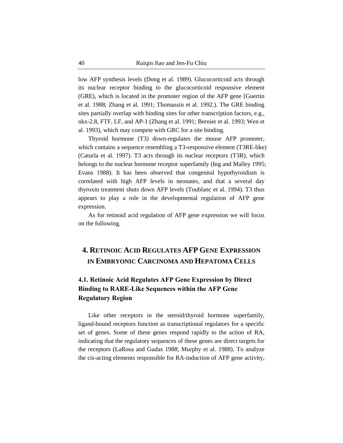low AFP synthesis levels (Dong et al. 1989). Glucocorticoid acts through its nuclear receptor binding to the glucocorticoid responsive element (GRE), which is located in the promoter region of the AFP gene [Guertin et al. 1988; Zhang et al. 1991; Thomassin et al. 1992.). The GRE binding sites partially overlap with binding sites for other transcription factors, e.g., nkx-2.8, FTF, LF, and AP-1 (Zhang et al. 1991; Bernier et al. 1993; Wen et al. 1993), which may compete with GRC for a site binding.

Thyroid hormone (T3) down-regulates the mouse AFP promoter, which contains a sequence resembling a T3-responsive element (T3RE-like) (Caturla et al. 1997). T3 acts through its nuclear receptors (T3R), which belongs to the nuclear hormone receptor superfamily (Ing and Malley 1995; Evans 1988). It has been observed that congenital hypothyroidism is correlated with high AFP levels in neonates, and that a several day thyroxin treatment shuts down AFP levels (Toublanc et al. 1994). T3 thus appears to play a role in the developmental regulation of AFP gene expression.

As for retinoid acid regulation of AFP gene expression we will focus on the following.

# **4. RETINOIC ACID REGULATES AFP GENE EXPRESSION IN EMBRYONIC CARCINOMA AND HEPATOMA CELLS**

### **4.1. Retinoic Acid Regulates AFP Gene Expression by Direct Binding to RARE-Like Sequences within the AFP Gene Regulatory Region**

Like other receptors in the steroid/thyroid hormone superfamily, ligand-bound receptors function as transcriptional regulators for a specific set of genes. Some of these genes respond rapidly to the action of RA, indicating that the regulatory sequences of these genes are direct targets for the receptors (LaRosa and Gudas 1988; Murphy et al. 1988). To analyze the cis-acting elements responsible for RA-induction of AFP gene activity,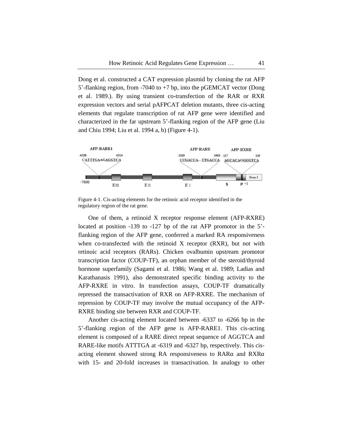Dong et al. constructed a CAT expression plasmid by cloning the rat AFP 5'-flanking region, from -7040 to +7 bp, into the pGEMCAT vector (Dong et al. 1989.). By using transient co-transfection of the RAR or RXR expression vectors and serial pAFPCAT deletion mutants, three cis-acting elements that regulate transcription of rat AFP gene were identified and characterized in the far upstream 5'-flanking region of the AFP gene (Liu and Chiu 1994; Liu et al. 1994 a, b) (Figure 4-1).



Figure 4-1. Cis-acting elements for the retinoic acid receptor identified in the regulatory region of the rat gene.

One of them, a retinoid X receptor response element (AFP-RXRE) located at position -139 to -127 bp of the rat AFP promotor in the 5' flanking region of the AFP gene, conferred a marked RA responsiveness when co-transfected with the retinoid X receptor (RXR), but not with retinoic acid receptors (RARs). Chicken ovalbumin upstream promotor transcription factor (COUP-TF), an orphan member of the steroid/thyroid hormone superfamily (Sagami et al. 1986; Wang et al. 1989; Ladias and Karathanasis 1991), also demonstrated specific binding activity to the AFP-RXRE in vitro. In transfection assays, COUP-TF dramatically repressed the transactivation of RXR on AFP-RXRE. The mechanism of repression by COUP-TF may involve the mutual occupancy of the AFP-RXRE binding site between RXR and COUP-TF.

Another cis-acting element located between -6337 to -6266 bp in the 5'-flanking region of the AFP gene is AFP-RARE1. This cis-acting element is composed of a RARE direct repeat sequence of AGGTCA and RARE-like motifs ATTTGA at -6319 and -6327 bp, respectively. This cisacting element showed strong RA responsiveness to RARα and RXRα with 15- and 20-fold increases in transactivation. In analogy to other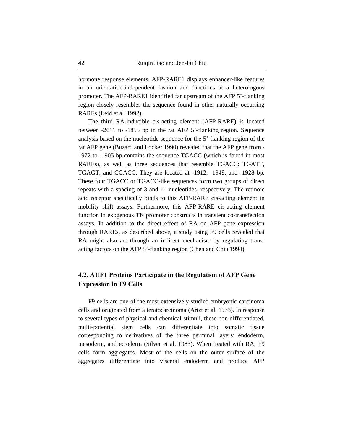hormone response elements, AFP-RARE1 displays enhancer-like features in an orientation-independent fashion and functions at a heterologous promoter. The AFP-RARE1 identified far upstream of the AFP 5'-flanking region closely resembles the sequence found in other naturally occurring RAREs (Leid et al. 1992).

The third RA-inducible cis-acting element (AFP-RARE) is located between -2611 to -1855 bp in the rat AFP 5'-flanking region. Sequence analysis based on the nucleotide sequence for the 5'-flanking region of the rat AFP gene (Buzard and Locker 1990) revealed that the AFP gene from - 1972 to -1905 bp contains the sequence TGACC (which is found in most RAREs), as well as three sequences that resemble TGACC: TGATT, TGAGT, and CGACC. They are located at -1912, -1948, and -1928 bp. These four TGACC or TGACC-like sequences form two groups of direct repeats with a spacing of 3 and 11 nucleotides, respectively. The retinoic acid receptor specifically binds to this AFP-RARE cis-acting element in mobility shift assays. Furthermore, this AFP-RARE cis-acting element function in exogenous TK promoter constructs in transient co-transfection assays. In addition to the direct effect of RA on AFP gene expression through RAREs, as described above, a study using F9 cells revealed that RA might also act through an indirect mechanism by regulating transacting factors on the AFP 5'-flanking region (Chen and Chiu 1994).

### **4.2. AUF1 Proteins Participate in the Regulation of AFP Gene Expression in F9 Cells**

F9 cells are one of the most extensively studied embryonic carcinoma cells and originated from a teratocarcinoma (Artzt et al. 1973). In response to several types of physical and chemical stimuli, these non-differentiated, multi-potential stem cells can differentiate into somatic tissue corresponding to derivatives of the three germinal layers: endoderm, mesoderm, and ectoderm (Silver et al. 1983). When treated with RA, F9 cells form aggregates. Most of the cells on the outer surface of the aggregates differentiate into visceral endoderm and produce AFP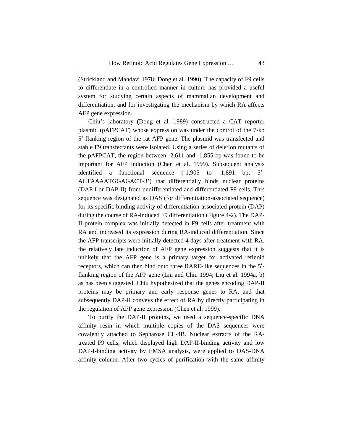(Strickland and Mahdavi 1978; Dong et al. 1990). The capacity of F9 cells to differentiate in a controlled manner in culture has provided a useful system for studying certain aspects of mammalian development and differentiation, and for investigating the mechanism by which RA affects AFP gene expression.

Chiu's laboratory (Dong et al. 1989) constructed a CAT reporter plasmid (pAFPCAT) whose expression was under the control of the 7-kb 5'-flanking region of the rat AFP gene. The plasmid was transfected and stable F9 transfectants were isolated. Using a series of deletion mutants of the pAFPCAT, the region between -2,611 and -1,855 bp was found to be important for AFP induction (Chen et al. 1999). Subsequent analysis identified a functional sequence (-1,905 to -1,891 bp, 5'- ACTAAAATGGAGACT-3') that differentially binds nuclear proteins (DAP-I or DAP-II) from undifferentiated and differentiated F9 cells. This sequence was designated as DAS (for differentiation-associated sequence) for its specific binding activity of differentiation-associated protein (DAP) during the course of RA-induced F9 differentiation (Figure 4-2). The DAP-II protein complex was initially detected in F9 cells after treatment with RA and increased its expression during RA-induced differentiation. Since the AFP transcripts were initially detected 4 days after treatment with RA, the relatively late induction of AFP gene expression suggests that it is unlikely that the AFP gene is a primary target for activated retinoid receptors, which can then bind onto three RARE-like sequences in the 5′ flanking region of the AFP gene (Liu and Chiu 1994; Liu et al. 1994a, b) as has been suggested. Chiu hypothesized that the genes encoding DAP-II proteins may be primary and early response genes to RA, and that subsequently DAP-II conveys the effect of RA by directly participating in the regulation of AFP gene expression (Chen et al. 1999).

To purify the DAP-II proteins, we used a sequence-specific DNA affinity resin in which multiple copies of the DAS sequences were covalently attached to Sepharose CL-4B. Nuclear extracts of the RAtreated F9 cells, which displayed high DAP-II-binding activity and low DAP-I-binding activity by EMSA analysis, were applied to DAS-DNA affinity column. After two cycles of purification with the same affinity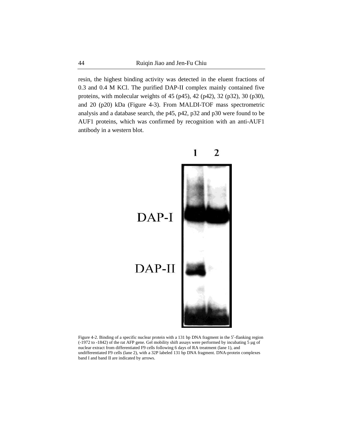resin, the highest binding activity was detected in the eluent fractions of 0.3 and 0.4 M KCl. The purified DAP-II complex mainly contained five proteins, with molecular weights of 45 (p45), 42 (p42), 32 (p32), 30 (p30), and 20 (p20) kDa (Figure 4-3). From MALDI-TOF mass spectrometric analysis and a database search, the p45, p42, p32 and p30 were found to be AUF1 proteins, which was confirmed by recognition with an anti-AUF1 antibody in a western blot.



Figure 4-2. Binding of a specific nuclear protein with a 131 bp DNA fragment in the 5′-flanking region (-1972 to -1842) of the rat AFP gene. Gel mobility shift assays were performed by incubating 5 μg of nuclear extract from differentiated F9 cells following 6 days of RA treatment (lane 1), and undifferentiated F9 cells (lane 2), with a 32P labeled 131 bp DNA fragment. DNA-protein complexes band I and band II are indicated by arrows.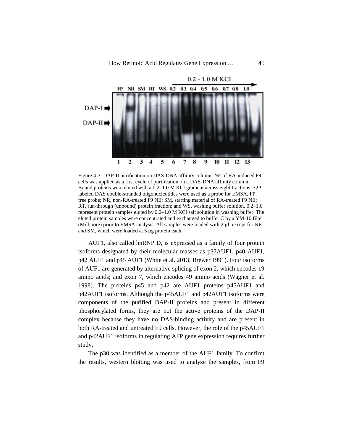

Figure 4-3. DAP-II purification on DAS-DNA affinity column. NE of RA-induced F9 cells was applied as a first cycle of purification on a DAS-DNA affinity column. Bound proteins were eluted with a 0.2–1.0 M KCl gradient across eight fractions. 32Plabeled DAS double-stranded oligonucleotides were used as a probe for EMSA. FP, free probe; NR, non-RA-treated F9 NE; SM, starting material of RA-treated F9 NE; RT, run-through (unbound) protein fraction; and WS, washing buffer solution. 0.2–1.0 represent protein samples eluted by 0.2–1.0 M KCl salt solution in washing buffer. The eluted protein samples were concentrated and exchanged to buffer C by a YM-10 filter (Millipore) prior to EMSA analysis. All samples were loaded with 2 μl, except for NR and SM, which were loaded at 5 μg protein each.

AUF1, also called hnRNP D, is expressed as a family of four protein isoforms designated by their molecular masses as p37AUF1, p40 AUF1, p42 AUF1 and p45 AUF1 (White et al. 2013; Brewer 1991). Four isoforms of AUF1 are generated by alternative splicing of exon 2, which encodes 19 amino acids; and exon 7, which encodes 49 amino acids (Wagner et al. 1998). The proteins p45 and p42 are AUF1 proteins p45AUF1 and p42AUF1 isoforms. Although the p45AUF1 and p42AUF1 isoforms were components of the purified DAP-II proteins and present in different phosphorylated forms, they are not the active proteins of the DAP-II complex because they have no DAS-binding activity and are present in both RA-treated and untreated F9 cells. However, the role of the p45AUF1 and p42AUF1 isoforms in regulating AFP gene expression requires further study.

The p30 was identified as a member of the AUF1 family. To confirm the results, western blotting was used to analyze the samples, from F9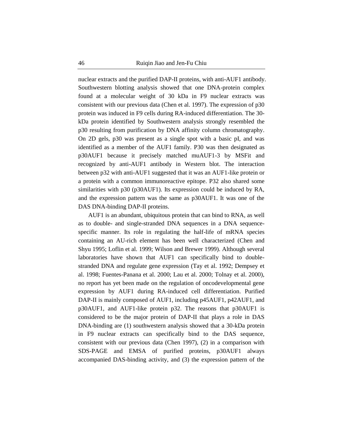nuclear extracts and the purified DAP-II proteins, with anti-AUF1 antibody. Southwestern blotting analysis showed that one DNA-protein complex found at a molecular weight of 30 kDa in F9 nuclear extracts was consistent with our previous data (Chen et al. 1997). The expression of p30 protein was induced in F9 cells during RA-induced differentiation. The 30 kDa protein identified by Southwestern analysis strongly resembled the p30 resulting from purification by DNA affinity column chromatography. On 2D gels, p30 was present as a single spot with a basic pI, and was identified as a member of the AUF1 family. P30 was then designated as p30AUF1 because it precisely matched muAUF1-3 by MSFit and recognized by anti-AUF1 antibody in Western blot. The interaction between p32 with anti-AUF1 suggested that it was an AUF1-like protein or a protein with a common immunoreactive epitope. P32 also shared some similarities with p30 (p30AUF1). Its expression could be induced by RA, and the expression pattern was the same as p30AUF1. It was one of the DAS DNA-binding DAP-II proteins.

AUF1 is an abundant, ubiquitous protein that can bind to RNA, as well as to double- and single-stranded DNA sequences in a DNA sequencespecific manner. Its role in regulating the half-life of mRNA species containing an AU-rich element has been well characterized (Chen and Shyu 1995; Loflin et al. 1999; Wilson and Brewer 1999). Although several laboratories have shown that AUF1 can specifically bind to doublestranded DNA and regulate gene expression (Tay et al. 1992; Dempsey et al. 1998; Fuentes-Panana et al. 2000; Lau et al. 2000; Tolnay et al. 2000), no report has yet been made on the regulation of oncodevelopmental gene expression by AUF1 during RA-induced cell differentiation. Purified DAP-II is mainly composed of AUF1, including p45AUF1, p42AUF1, and p30AUF1, and AUF1-like protein p32. The reasons that p30AUF1 is considered to be the major protein of DAP-II that plays a role in DAS DNA-binding are (1) southwestern analysis showed that a 30-kDa protein in F9 nuclear extracts can specifically bind to the DAS sequence, consistent with our previous data (Chen 1997), (2) in a comparison with SDS-PAGE and EMSA of purified proteins, p30AUF1 always accompanied DAS-binding activity, and (3) the expression pattern of the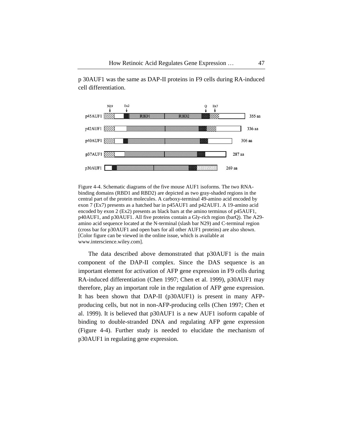

p 30AUF1 was the same as DAP-II proteins in F9 cells during RA-induced cell differentiation.

Figure 4-4. Schematic diagrams of the five mouse AUF1 isoforms. The two RNAbinding domains (RBD1 and RBD2) are depicted as two gray-shaded regions in the central part of the protein molecules. A carboxy-terminal 49-amino acid encoded by exon 7 (Ex7) presents as a hatched bar in p45AUF1 and p42AUF1. A 19-amino acid encoded by exon 2 (Ex2) presents as black bars at the amino terminus of p45AUF1, p40AUF1, and p30AUF1. All five proteins contain a Gly-rich region (barQ). The A29 amino acid sequence located at the N-terminal (slash bar N29) and C-terminal region (cross bar for p30AUF1 and open bars for all other AUF1 proteins) are also shown. [Color figure can be viewed in the online issue, which is available at www.interscience.wiley.com].

The data described above demonstrated that p30AUF1 is the main component of the DAP-II complex. Since the DAS sequence is an important element for activation of AFP gene expression in F9 cells during RA-induced differentiation (Chen 1997; Chen et al. 1999), p30AUF1 may therefore, play an important role in the regulation of AFP gene expression. It has been shown that DAP-II (p30AUF1) is present in many AFPproducing cells, but not in non-AFP-producing cells (Chen 1997; Chen et al. 1999). It is believed that p30AUF1 is a new AUF1 isoform capable of binding to double-stranded DNA and regulating AFP gene expression (Figure 4-4). Further study is needed to elucidate the mechanism of p30AUF1 in regulating gene expression.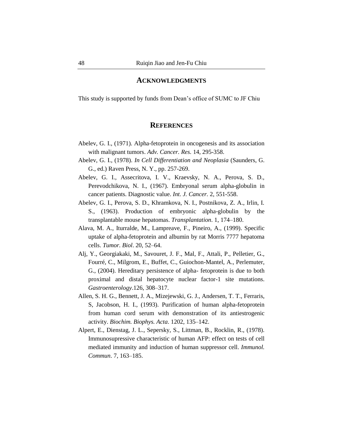#### **ACKNOWLEDGMENTS**

This study is supported by funds from Dean's office of SUMC to JF Chiu

#### **REFERENCES**

- Abelev, G. I., (1971). Alpha-fetoprotein in oncogenesis and its association with malignant tumors. *Adv. Cancer. Res.* 14, 295-358.
- Abelev, G. I., (1978). *In Cell Differentiation and Neoplasia* (Saunders, G. G., ed.) Raven Press, N. Y., pp. 257-269.
- Abelev, G. I., Assecritova, I. V., Kraevsky, N. A., Perova, S. D., Perevodchikova, N. I., (1967). Embryonal serum alpha-globulin in cancer patients. Diagnostic value. *Int. J. Cancer.* 2, 551-558.
- Abelev, G. I., Perova, S. D., Khramkova, N. I., Postnikova, Z. A., Irlin, I. S., (1963). Production of embryonic alpha-globulin by the transplantable mouse hepatomas. *Transplantation*. 1, 174–180.
- Alava, M. A., Iturralde, M., Lampreave, F., Pineiro, A., (1999). Specific uptake of alpha-fetoprotein and albumin by rat Morris 7777 hepatoma cells. *Tumor. Biol*. 20, 52–64.
- Alj, Y., Georgiakaki, M., Savouret, J. F., Mal, F., Attali, P., Pelletier, G., Fourré, C., Milgrom, E., Buffet, C., Guiochon-Mantel, A., Perlemuter, G., (2004). Hereditary persistence of alpha- fetoprotein is due to both proximal and distal hepatocyte nuclear factor-1 site mutations. *Gastroenterology*.126, 308–317.
- Allen, S. H. G., Bennett, J. A., Mizejewski, G. J., Andersen, T. T., Ferraris, S, Jacobson, H. I., (1993). Purification of human alpha-fetoprotein from human cord serum with demonstration of its antiestrogenic activity. *Biochim. Biophys. Acta*. 1202, 135–142.
- Alpert, E., Dienstag, J. L., Sepersky, S., Littman, B., Rocklin, R., (1978). Immunosupressive characteristic of human AFP: effect on tests of cell mediated immunity and induction of human suppressor cell. *Immunol. Commun*. 7, 163–185.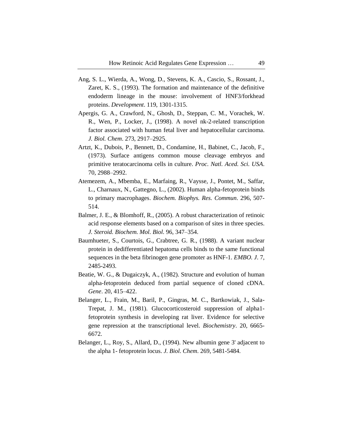- Ang, S. L., Wierda, A., Wong, D., Stevens, K. A., Cascio, S., Rossant, J., Zaret, K. S., (1993). The formation and maintenance of the definitive endoderm lineage in the mouse: involvement of HNF3/forkhead proteins. *Development*. 119, 1301-1315.
- Apergis, G. A., Crawford, N., Ghosh, D., Steppan, C. M., Vorachek, W. R., Wen, P., Locker, J., (1998). A novel nk-2-related transcription factor associated with human fetal liver and hepatocellular carcinoma. *J. Biol. Chem*. 273, 2917–2925.
- Artzt, K., Dubois, P., Bennett, D., Condamine, H., Babinet, C., Jacob, F., (1973). Surface antigens common mouse cleavage embryos and primitive teratocarcinoma cells in culture. *Proc. Natl. Aced. Sci. USA*. 70, 2988–2992.
- Atemezem, A., Mbemba, E., Marfaing, R., Vaysse, J., Pontet, M., Saffar, L., Charnaux, N., Gattegno, L., (2002). Human alpha-fetoprotein binds to primary macrophages. *Biochem. Biophys. Res. Commun*. 296, 507- 514.
- Balmer, J. E., & Blomhoff, R., (2005). A robust characterization of retinoic acid response elements based on a comparison of sites in three species. *J. Steroid. Biochem. Mol. Biol.* 96, 347–354.
- Baumhueter, S., Courtois, G., Crabtree, G. R., (1988). A variant nuclear protein in dedifferentiated hepatoma cells binds to the same functional sequences in the beta fibrinogen gene promoter as HNF-1. *EMBO. J*. 7, 2485-2493.
- Beatie, W. G., & Dugaiczyk, A., (1982). Structure and evolution of human alpha-fetoprotein deduced from partial sequence of cloned cDNA. *Gene*. 20, 415–422.
- Belanger, L., Frain, M., Baril, P., Gingras, M. C., Bartkowiak, J., Sala-Trepat, J. M., (1981). Glucocorticosteroid suppression of alpha1 fetoprotein synthesis in developing rat liver. Evidence for selective gene repression at the transcriptional level. *Biochemistry*. 20, 6665- 6672.
- Belanger, L., Roy, S., Allard, D., (1994). New albumin gene 3' adjacent to the alpha 1- fetoprotein locus. *J. Biol. Chem*. 269, 5481-5484.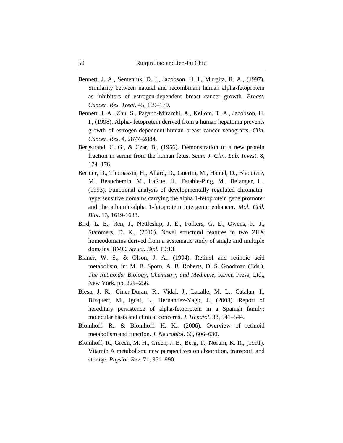- Bennett, J. A., Semeniuk, D. J., Jaсobson, H. I., Murgita, R. A., (1997). Similarity between natural and recombinant human alpha-fetoprotein as inhibitors of estrogen-dependent breast cancer growth. *Breast. Cancer. Res. Treat*. 45, 169–179.
- Bennett, J. A., Zhu, S., Pagano-Mirarchi, A., Kellom, T. A., Jacobson, H. I., (1998). Alpha- fetoprotein derived from a human hepatoma prevents growth of estrogen-dependent human breast cancer xenografts. *Clin. Cancer. Res*. 4, 2877–2884.
- Bergstrand, C. G., & Czar, B., (1956). Demonstration of a new protein fraction in serum from the human fetus. *Scan. J. Clin. Lab. Invest*. 8, 174–176.
- Bernier, D., Thomassin, H., Allard, D., Guertin, M., Hamel, D., Blaquiere, M., Beauchemin, M., LaRue, H., Estable-Puig, M., Belanger, L., (1993). Functional analysis of developmentally regulated chromatinhypersensitive domains carrying the alpha 1-fetoprotein gene promoter and the albumin/alpha 1-fetoprotein intergenic enhancer. *Mol. Cell. Biol*. 13, 1619-1633.
- Bird, L. E., Ren, J., Nettleship, J. E., Folkers, G. E., Owens, R. J., Stammers, D. K., (2010). Novel structural features in two ZHX homeodomains derived from a systematic study of single and multiple domains. BMC. *Struct. Biol.* 10:13.
- Blaner, W. S., & Olson, J. A., (1994). Retinol and retinoic acid metabolism, in: M. B. Sporn, A. B. Roberts, D. S. Goodman (Eds.), *The Retinoids: Biology, Chemistry, and Medicine*, Raven Press, Ltd., New York, pp. 229–256.
- Blesa, J. R., Giner-Duran, R., Vidal, J., Lacalle, M. L., Catalan, I., Bixquert, M., Igual, L., Hernandez-Yago, J., (2003). Report of hereditary persistence of alpha-fetoprotein in a Spanish family: molecular basis and clinical concerns. *J. Hepatol*. 38, 541–544.
- Blomhoff, R., & Blomhoff, H. K., (2006). Overview of retinoid metabolism and function. *J. Neurobiol*. 66, 606–630.
- Blomhoff, R., Green, M. H., Green, J. B., Berg, T., Norum, K. R., (1991). Vitamin A metabolism: new perspectives on absorption, transport, and storage. *Physiol. Rev*. 71, 951–990.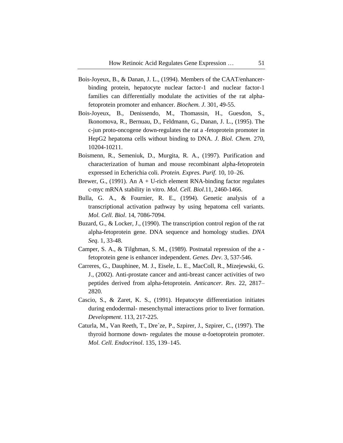- Bois-Joyeux, B., & Danan, J. L., (1994). Members of the CAAT/enhancerbinding protein, hepatocyte nuclear factor-1 and nuclear factor-1 families can differentially modulate the activities of the rat alphafetoprotein promoter and enhancer. *Biochem. J*. 301, 49-55.
- Bois-Joyeux, B., Denissendo, M., Thomassin, H., Guesdon, S., Ikonomova, R., Bernuau, D., Feldmann, G., Danan, J. L., (1995). The c-jun proto-oncogene down-regulates the rat a -fetoprotein promoter in HepG2 hepatoma cells without binding to DNA. *J. Biol. Chem*. 270, 10204-10211.
- Boismenn, R., Semeniuk, D., Murgita, R. A., (1997). Purification and characterization of human and mouse recombinant alpha-fetoprotein expressed in Echerichia coli. *Protein. Expres. Purif.* 10, 10–26.
- Brewer, G., (1991). An  $A + U$ -rich element RNA-binding factor regulates c-myc mRNA stability in vitro. *Mol. Cell. Biol*.11, 2460-1466.
- Bulla, G. A., & Fournier, R. E., (1994). Genetic analysis of a transcriptional activation pathway by using hepatoma cell variants. *Mol. Cell. Biol*. 14, 7086-7094.
- Buzard, G., & Locker, J., (1990). The transcription control region of the rat alpha-fetoprotein gene. DNA sequence and homology studies. *DNA Seq*. 1, 33-48.
- Camper, S. A., & Tilghman, S. M., (1989). Postnatal repression of the a fetoprotein gene is enhancer independent. *Genes. Dev*. 3, 537-546.
- Carreres, G., Dauphinee, M. J., Eisele, L. E., MacColl, R., Mizejewski, G. J., (2002). Anti-prostate cancer and anti-breast cancer activities of two peptides derived from alpha-fetoprotein. *Anticancer. Res*. 22, 2817– 2820.
- Cascio, S., & Zaret, K. S., (1991). Hepatocyte differentiation initiates during endodermal- mesenchymal interactions prior to liver formation. *Development*. 113, 217-225.
- Caturla, M., Van Reeth, T., Dre´ze, P., Szpirer, J., Szpirer, C., (1997). The thyroid hormone down- regulates the mouse α-foetoprotein promoter. *Mol. Cell. Endocrinol*. 135, 139–145.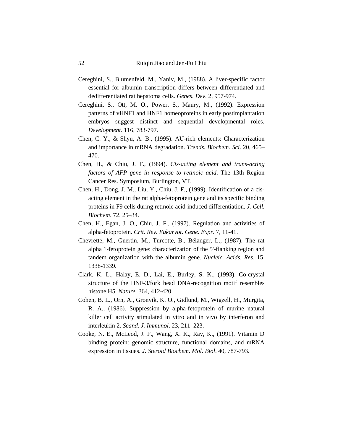- Cereghini, S., Blumenfeld, M., Yaniv, M., (1988). A liver-specific factor essential for albumin transcription differs between differentiated and dedifferentiated rat hepatoma cells. *Genes. Dev*. 2, 957-974.
- Cereghini, S., Ott, M. O., Power, S., Maury, M., (1992). Expression patterns of vHNF1 and HNF1 homeoproteins in early postimplantation embryos suggest distinct and sequential developmental roles. *Development*. 116, 783-797.
- Chen, C. Y., & Shyu, A. B., (1995). AU-rich elements: Characterization and importance in mRNA degradation. *Trends. Biochem. Sci*. 20, 465– 470.
- Chen, H., & Chiu, J. F., (1994). *Cis-acting element and trans-acting factors of AFP gene in response to retinoic acid*. The 13th Region Cancer Res. Symposium, Burlington, VT.
- Chen, H., Dong, J. M., Liu, Y., Chiu, J. F., (1999). Identification of a cisacting element in the rat alpha-fetoprotein gene and its specific binding proteins in F9 cells during retinoic acid-induced differentiation. *J. Cell. Biochem*. 72, 25–34.
- Chen, H., Egan, J. O., Chiu, J. F., (1997). Regulation and activities of alpha-fetoprotein. *Crit. Rev. Eukaryot. Gene. Expr*. 7, 11-41.
- Chevrette, M., Guertin, M., Turcotte, B., Bélanger, L., (1987). The rat alpha 1-fetoprotein gene: characterization of the 5'-flanking region and tandem organization with the albumin gene. *Nucleic. Acids. Res*. 15, 1338-1339.
- Clark, K. L., Halay, E. D., Lai, E., Burley, S. K., (1993). Co-crystal structure of the HNF-3/fork head DNA-recognition motif resembles histone H5. *Nature*. 364, 412-420.
- Cohen, B. L., Orn, A., Gronvik, K. O., Gidlund, M., Wigzell, H., Murgita, R. A., (1986). Suppression by alpha-fetoprotein of murine natural killer cell activity stimulated in vitro and in vivo by interferon and interleukin 2. *Scand. J. Immunol*. 23, 211–223.
- Cooke, N. E., McLeod, J. F., Wang, X. K., Ray, K., (1991). Vitamin D binding protein: genomic structure, functional domains, and mRNA expression in tissues. *J. Steroid Biochem. Mol. Biol*. 40, 787-793.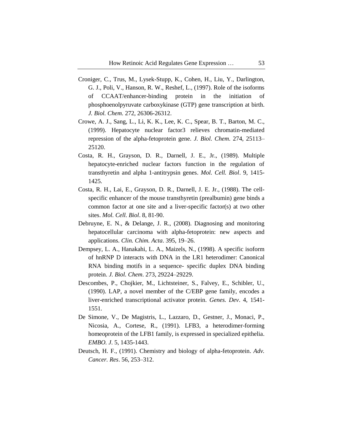- Croniger, C., Trus, M., Lysek-Stupp, K., Cohen, H., Liu, Y., Darlington, G. J., Poli, V., Hanson, R. W., Reshef, L., (1997). Role of the isoforms of CCAAT/enhancer-binding protein in the initiation of phosphoenolpyruvate carboxykinase (GTP) gene transcription at birth. *J. Biol. Chem.* 272, 26306-26312.
- Crowe, A. J., Sang, L., Li, K. K., Lee, K. C., Spear, B. T., Barton, M. C., (1999). Hepatocyte nuclear factor3 relieves chromatin-mediated repression of the alpha-fetoprotein gene. *J. Biol. Chem*. 274, 25113– 25120.
- Costa, R. H., Grayson, D. R., Darnell, J. E., Jr., (1989). Multiple hepatocyte-enriched nuclear factors function in the regulation of transthyretin and alpha 1-antitrypsin genes. *Mol. Cell. Biol*. 9, 1415- 1425.
- Costa, R. H., Lai, E., Grayson, D. R., Darnell, J. E. Jr., (1988). The cellspecific enhancer of the mouse transthyretin (prealbumin) gene binds a common factor at one site and a liver-specific factor(s) at two other sites. *Mol. Cell. Biol*. 8, 81-90.
- Debruyne, E. N., & Delange, J. R., (2008). Diagnosing and monitoring hepatocellular carcinoma with alpha-fetoprotein: new aspects and applications. *Clin. Chim. Acta*. 395, 19–26.
- Dempsey, L. A., Hanakahi, L. A., Maizels, N., (1998). A specific isoform of hnRNP D interacts with DNA in the LR1 heterodimer: Canonical RNA binding motifs in a sequence- specific duplex DNA binding protein. *J. Biol. Chem*. 273, 29224–29229.
- Descombes, P., Chojkier, M., Lichtsteiner, S., Falvey, E., Schibler, U., (1990). LAP, a novel member of the C/EBP gene family, encodes a liver-enriched transcriptional activator protein. *Genes. Dev*. 4, 1541- 1551.
- De Simone, V., De Magistris, L., Lazzaro, D., Gestner, J., Monaci, P., Nicosia, A., Cortese, R., (1991). LFB3, a heterodimer-forming homeoprotein of the LFB1 family, is expressed in specialized epithelia. *EMBO. J*. 5, 1435-1443.
- Deutsch, H. F., (1991). Chemistry and biology of alpha-fetoprotein. *Adv. Cancer. Res*. 56, 253–312.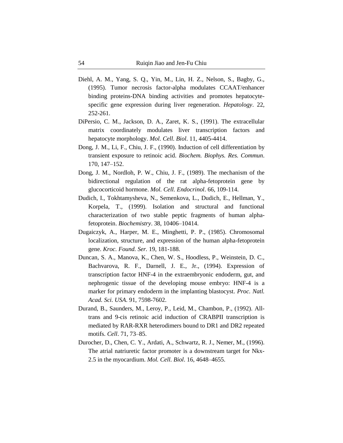- Diehl, A. M., Yang, S. Q., Yin, M., Lin, H. Z., Nelson, S., Bagby, G., (1995). Tumor necrosis factor-alpha modulates CCAAT/enhancer binding proteins-DNA binding activities and promotes hepatocytespecific gene expression during liver regeneration. *Hepatology*. 22, 252-261.
- DiPersio, C. M., Jackson, D. A., Zaret, K. S., (1991). The extracellular matrix coordinately modulates liver transcription factors and hepatocyte morphology. *Mol. Cell. Biol*. 11, 4405-4414.
- Dong, J. M., Li, F., Chiu, J. F., (1990). Induction of cell differentiation by transient exposure to retinoic acid. *Biochem. Biophys. Res. Commun*. 170, 147–152.
- Dong, J. M., Nordloh, P. W., Chiu, J. F., (1989). The mechanism of the bidirectional regulation of the rat alpha-fetoprotein gene by glucocorticoid hormone. *Mol. Cell. Endocrinol*. 66, 109-114.
- Dudich, I., Tokhtamysheva, N., Semenkova, L., Dudich, E., Hellman, Y., Korpela, T., (1999). Isolation and structural and functional characterization of two stable peptic fragments of human alphafetoprotein. *Biochemistry*. 38, 10406–10414.
- Dugaiczyk, A., Harper, M. E., Minghetti, P. P., (1985). Chromosomal localization, structure, and expression of the human alpha-fetoprotein gene. *Kroc. Found. Ser.* 19, 181-188.
- Duncan, S. A., Manova, K., Chen, W. S., Hoodless, P., Weinstein, D. C., Bachvarova, R. F., Darnell, J. E., Jr., (1994). Expression of transcription factor HNF-4 in the extraembryonic endoderm, gut, and nephrogenic tissue of the developing mouse embryo: HNF-4 is a marker for primary endoderm in the implanting blastocyst. *Proc. Natl. Acad. Sci. USA*. 91, 7598-7602.
- Durand, B., Saunders, M., Leroy, P., Leid, M., Chambon, P., (1992). Alltrans and 9-cis retinoic acid induction of CRABPII transcription is mediated by RAR-RXR heterodimers bound to DR1 and DR2 repeated motifs. *Cell*. 71, 73–85.
- Durocher, D., Chen, C. Y., Ardati, A., Schwartz, R. J., Nemer, M., (1996). The atrial natriuretic factor promoter is a downstream target for Nkx-2.5 in the myocardium. *Mol. Cell. Biol*. 16, 4648–4655.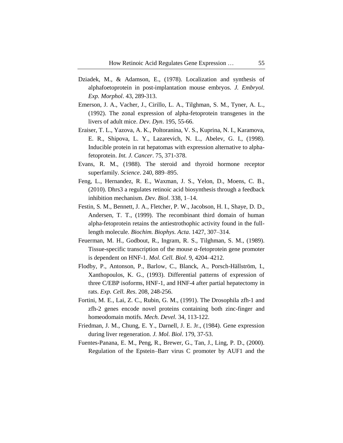- Dziadek, M., & Adamson, E., (1978). Localization and synthesis of alphafoetoprotein in post-implantation mouse embryos. *J. Embryol. Exp. Morphol*. 43, 289-313.
- Emerson, J. A., Vacher, J., Cirillo, L. A., Tilghman, S. M., Tyner, A. L., (1992). The zonal expression of alpha-fetoprotein transgenes in the livers of adult mice. *Dev. Dyn*. 195, 55-66.
- Eraiser, T. L., Yazova, A. K., Poltoranina, V. S., Kuprina, N. I., Karamova, E. R., Shipova, L. Y., Lazarevich, N. L., Abelev, G. I., (1998). Inducible protein in rat hepatomas with expression alternative to alphafetoprotein. *Int. J. Cancer*. 75, 371-378.
- Evans, R. M., (1988). The steroid and thyroid hormone receptor superfamily. *Science*. 240, 889–895.
- Feng, L., Hernandez, R. E., Waxman, J. S., Yelon, D., Moens, C. B., (2010). Dhrs3 a regulates retinoic acid biosynthesis through a feedback inhibition mechanism. *Dev. Biol*. 338, 1–14.
- Festin, S. M., Bennett, J. A., Fletcher, P. W., Jacobson, H. I., Shaye, D. D., Andersen, T. T., (1999). The recombinant third domain of human alpha-fetoprotein retains the antiestrothophic activity found in the fulllength molecule. *Biochim. Biophys. Acta*. 1427, 307–314.
- Feuerman, M. H., Godbout, R., Ingram, R. S., Tilghman, S. M., (1989). Tissue-specific transcription of the mouse  $\alpha$ -fetoprotein gene promoter is dependent on HNF-1. *Mol. Cell. Biol*. 9, 4204–4212.
- Flodby, P., Antonson, P., Barlow, C., Blanck, A., Porsch-Hällström, I., Xanthopoulos, K. G., (1993). Differential patterns of expression of three C/EBP isoforms, HNF-1, and HNF-4 after partial hepatectomy in rats. *Exp. Cell. Res*. 208, 248-256.
- Fortini, M. E., Lai, Z. C., Rubin, G. M., (1991). The Drosophila zfh-1 and zfh-2 genes encode novel proteins containing both zinc-finger and homeodomain motifs. *Mech. Devel.* 34, 113-122.
- Friedman, J. M., Chung, E. Y., Darnell, J. E. Jr., (1984). Gene expression during liver regeneration. *J. Mol. Biol*. 179, 37-53.
- Fuentes-Panana, E. M., Peng, R., Brewer, G., Tan, J., Ling, P. D., (2000). Regulation of the Epstein–Barr virus C promoter by AUF1 and the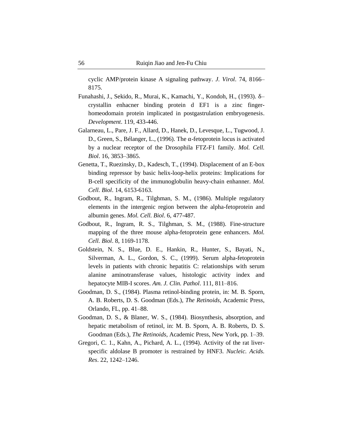cyclic AMP/protein kinase A signaling pathway. *J. Virol*. 74, 8166– 8175.

- Funahashi, J., Sekido, R., Murai, K., Kamachi, Y., Kondoh, H., (1993). δ– crystallin enhacner binding protein d EF1 is a zinc fingerhomeodomain protein implicated in postgastrulation embryogenesis. *Development*. 119, 433-446.
- Galarneau, L., Pare, J. F., Allard, D., Hanek, D., Levesque, L., Tugwood, J. D., Green, S., Bélanger, L., (1996). The α-fetoprotein locus is activated by a nuclear receptor of the Drosophila FTZ-F1 family. *Mol. Cell. Biol*. 16, 3853–3865.
- Genetta, T., Ruezinsky, D., Kadesch, T., (1994). Displacement of an E-box binding repressor by basic helix-loop-helix proteins: Implications for B-cell specificity of the immunoglobulin heavy-chain enhanner. *Mol. Cell. Biol*. 14, 6153-6163.
- Godbout, R., Ingram, R., Tilghman, S. M., (1986). Multiple regulatory elements in the intergenic region between the alpha-fetoprotein and albumin genes. *Mol. Cell. Biol*. 6, 477-487.
- Godbout, R., Ingram, R. S., Tilghman, S. M., (1988). Fine-structure mapping of the three mouse alpha-fetoprotein gene enhancers. *Mol. Cell. Biol*. 8, 1169-1178.
- Goldstein, N. S., Blue, D. E., Hankin, R., Hunter, S., Bayati, N., Silverman, A. L., Gordon, S. C., (1999). Serum alpha-fetoprotein levels in patients with chronic hepatitis C: relationships with serum alanine aminotransferase values, histologic activity index and hepatocyte MIB-I scores. *Am. J. Clin. Pathol*. 111, 811–816.
- Goodman, D. S., (1984). Plasma retinol-binding protein, in: M. B. Sporn, A. B. Roberts, D. S. Goodman (Eds.), *The Retinoids*, Academic Press, Orlando, FL, pp. 41–88.
- Goodman, D. S., & Blaner, W. S., (1984). Biosynthesis, absorption, and hepatic metabolism of retinol, in: M. B. Sporn, A. B. Roberts, D. S. Goodman (Eds.), *The Retinoids*, Academic Press, New York, pp. 1–39.
- Gregori, C. 1., Kahn, A., Pichard, A. L., (1994). Activity of the rat liverspecific aldolase B promoter is restrained by HNF3. *Nucleic. Acids. Res*. 22, 1242–1246.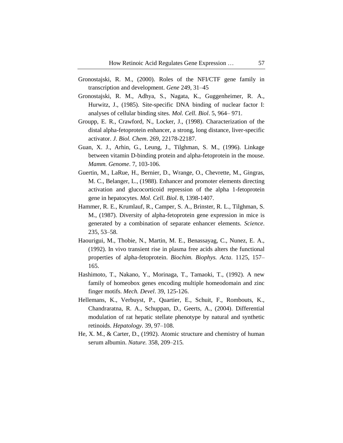- Gronostajski, R. M., (2000). Roles of the NFI/CTF gene family in transcription and development. *Gene* 249, 31–45
- Gronostajski, R. M., Adhya, S., Nagata, K., Guggenheimer, R. A., Hurwitz, J., (1985). Site-specific DNA binding of nuclear factor I: analyses of cellular binding sites. *Mol. Cell. Biol*. 5, 964– 971.
- Groupp, E. R., Crawford, N., Locker, J., (1998). Characterization of the distal alpha-fetoprotein enhancer, a strong, long distance, liver-specific activator. *J. Biol. Chem*. 269, 22178-22187.
- Guan, X. J., Arhin, G., Leung, J., Tilghman, S. M., (1996). Linkage between vitamin D-binding protein and alpha-fetoprotein in the mouse. *Mamm. Genome*. 7, 103-106.
- Guertin, M., LaRue, H., Bernier, D., Wrange, O., Chevrette, M., Gingras, M. C., Belanger, L., (1988). Enhancer and promoter elements directing activation and glucocorticoid repression of the alpha 1-fetoprotein gene in hepatocytes. *Mol. Cell. Biol*. 8, 1398-1407.
- Hammer, R. E., Krumlauf, R., Camper, S. A., Brinster, R. L., Tilghman, S. M., (1987). Diversity of alpha-fetoprotein gene expression in mice is generated by a combination of separate enhancer elements. *Science*. 235, 53–58.
- Haourigui, M., Thobie, N., Martin, M. E., Benassayag, C., Nunez, E. A., (1992). In vivo transient rise in plasma free acids alters the functional properties of alpha-fetoprotein. *Biochim. Biophys. Acta*. 1125, 157– 165.
- Hashimoto, T., Nakano, Y., Morinaga, T., Tamaoki, T., (1992). A new family of homeobox genes encoding multiple homeodomain and zinc finger motifs. *Mech. Devel*. 39, 125-126.
- Hellemans, K., Verbuyst, P., Quartier, E., Schuit, F., Rombouts, K., Chandraratna, R. A., Schuppan, D., Geerts, A., (2004). Differential modulation of rat hepatic stellate phenotype by natural and synthetic retinoids. *Hepatology*. 39, 97–108.
- He, X. M., & Carter, D., (1992). Atomic structure and chemistry of human serum albumin. *Nature.* 358, 209–215.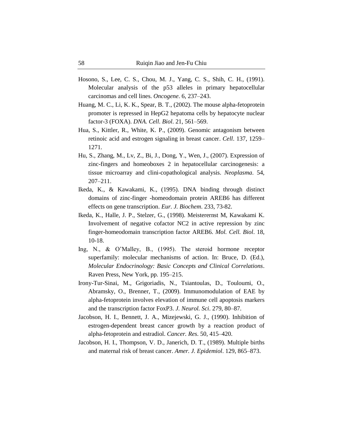- Hosono, S., Lee, C. S., Chou, M. J., Yang, C. S., Shih, C. H., (1991). Molecular analysis of the p53 alleles in primary hepatocellular carcinomas and cell lines. *Oncogene*. 6, 237–243.
- Huang, M. C., Li, K. K., Spear, B. T., (2002). The mouse alpha-fetoprotein promoter is repressed in HepG2 hepatoma cells by hepatocyte nuclear factor-3 (FOXA). *DNA. Cell. Biol*. 21, 561–569.
- Hua, S., Kittler, R., White, K. P., (2009). Genomic antagonism between retinoic acid and estrogen signaling in breast cancer. *Cell*. 137, 1259– 1271.
- Hu, S., Zhang, M., Lv, Z., Bi, J., Dong, Y., Wen, J., (2007). Expression of zinc-fingers and homeoboxes 2 in hepatocellular carcinogenesis: a tissue microarray and clini-copathological analysis. *Neoplasma*. 54, 207–211.
- Ikeda, K., & Kawakami, K., (1995). DNA binding through distinct domains of zinc-finger -homeodomain protein AREB6 has different effects on gene transcription. *Eur. J. Biochem*. 233, 73-82.
- Ikeda, K., Halle, J. P., Stelzer, G., (1998). Meisterernst M, Kawakami K. Involvement of negative cofactor NC2 in active repression by zinc finger-homeodomain transcription factor AREB6. *Mol. Cell. Biol*. 18, 10-18.
- Ing, N., & O'Malley, B., (1995). The steroid hormone receptor superfamily: molecular mechanisms of action. In: Bruce, D. (Ed.), *Molecular Endocrinology: Basic Concepts and Clinical Correlations*. Raven Press, New York, pp. 195–215.
- Irony-Tur-Sinai, M., Grigoriadis, N., Tsiantoulas, D., Touloumi, O., Abramsky, O., Brenner, T., (2009). Immunomodulation of EAE by alpha-fetoprotein involves elevation of immune cell apoptosis markers and the transcription factor FoxP3. *J. Neurol. Sci*. 279, 80–87.
- Jacobson, H. I., Bennett, J. A., Mizejewski, G. J., (1990). Inhibition of estrogen-dependent breast cancer growth by a reaction product of alpha-fetoprotein and estradiol. *Cancer. Res*. 50, 415–420.
- Jacobson, H. I., Thompson, V. D., Janerich, D. T., (1989). Multiple births and maternal risk of breast cancer. *Amer. J. Epidemiol*. 129, 865–873.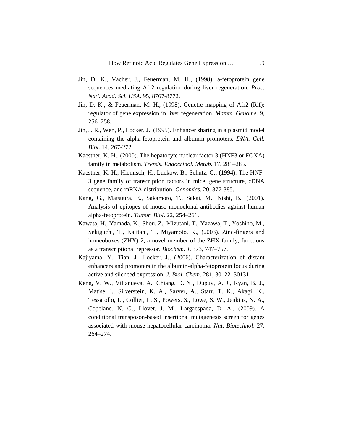- Jin, D. K., Vacher, J., Feuerman, M. H., (1998). a-fetoprotein gene sequences mediating Afr2 regulation during liver regeneration. *Proc. Natl. Acad. Sci. USA*. 95, 8767-8772.
- Jin, D. K., & Feuerman, M. H., (1998). Genetic mapping of Afr2 (Rif): regulator of gene expression in liver regeneration. *Mamm. Genome*. 9, 256–258.
- Jin, J. R., Wen, P., Locker, J., (1995). Enhancer sharing in a plasmid model containing the alpha-fetoprotein and albumin promoters. *DNA. Cell. Biol*. 14, 267-272.
- Kaestner, K. H., (2000). The hepatocyte nuclear factor 3 (HNF3 or FOXA) family in metabolism. *Trends. Endocrinol. Metab*. 17, 281–285.
- Kaestner, K. H., Hiemisch, H., Luckow, B., Schutz, G., (1994). The HNF-3 gene family of transcription factors in mice: gene structure, cDNA sequence, and mRNA distribution. *Genomics*. 20, 377-385.
- Kang, G., Matsuura, E., Sakamoto, T., Sakai, M., Nishi, B., (2001). Analysis of epitopes of mouse monoclonal antibodies against human alpha-fetoprotein. *Tumor. Biol*. 22, 254–261.
- Kawata, H., Yamada, K., Shou, Z., Mizutani, T., Yazawa, T., Yoshino, M., Sekiguchi, T., Kajitani, T., Miyamoto, K., (2003). Zinc-fingers and homeoboxes (ZHX) 2, a novel member of the ZHX family, functions as a transcriptional repressor. *Biochem. J*. 373, 747–757.
- Kajiyama, Y., Tian, J., Locker, J., (2006). Characterization of distant enhancers and promoters in the albumin-alpha-fetoprotein locus during active and silenced expression. *J. Biol. Chem*. 281, 30122–30131.
- Keng, V. W., Villanueva, A., Chiang, D. Y., Dupuy, A. J., Ryan, B. J., Matise, I., Silverstein, K. A., Sarver, A., Starr, T. K., Akagi, K., Tessarollo, L., Collier, L. S., Powers, S., Lowe, S. W., Jenkins, N. A., Copeland, N. G., Llovet, J. M., Largaespada, D. A., (2009). A conditional transposon-based insertional mutagenesis screen for genes associated with mouse hepatocellular carcinoma. *Nat. Biotechnol*. 27, 264–274.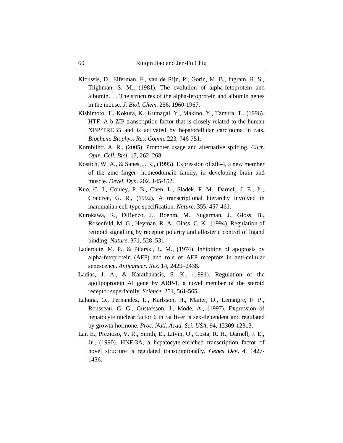- Kioussis, D., Eiferman, F., van de Rijn, P., Gorin, M. B., Ingram, R. S., Tilghman, S. M., (1981). The evolution of alpha-fetoprotein and albumin. II. The structures of the alpha-fetoprotein and albumin genes in the mouse. *J. Biol. Chem*. 256, 1960-1967.
- Kishimoto, T., Kokura, K., Kumagai, Y., Makino, Y., Tamura, T., (1996). HTF: A b-ZIP transcription factor that is closely related to the human XBPrTREB5 and is activated by hepatocellular carcinoma in rats. *Biochem. Biophys. Res. Comm*. 223, 746-751.
- Kornblihtt, A. R., (2005). Promoter usage and alternative splicing. *Curr. Opin. Cell. Biol*. 17, 262–268.
- Kostich, W. A., & Sanes, J. R., (1995). Expression of zfh-4, a new member of the zinc finger- homeodomain family, in developing brain and muscle. *Devel. Dyn*. 202, 145-152.
- Kuo, C. J., Conley, P. B., Chen, L., Sladek, F. M., Darnell, J. E., Jr., Crabtree, G. R., (1992). A transcriptional hierarchy involved in mammalian cell-type specification. *Nature*. 355, 457-461.
- Kurokawa, R., DiRenzo, J., Boehm, M., Sugarman, J., Gloss, B., Rosenfeld, M. G., Heyman, R. A., Glass, C. K., (1994). Regulation of retinoid signalling by receptor polarity and allosteric control of ligand binding. *Nature*. 371, 528–531.
- Laderoute, M. P., & Pilarski, L. M., (1974). Inhibition of apoptosis by alpha-fetoprotein (AFP) and role of AFP receptors in anti-cellular senescence. *Anticancer. Res*. 14, 2429–2438.
- Ladias, J. A., & Karathanasis, S. K., (1991). Regulation of the apolipoprotein AI gene by ARP-1, a novel member of the steroid receptor superfamily. *Science*. 251, 561-565.
- Lahuna, O., Fernandez, L., Karlsson, H., Maiter, D., Lemaigre, F. P., Rousseau, G. G., Gustafsson, J., Mode, A., (1997). Expression of hepatocyte nuclear factor 6 in rat liver is sex-dependent and regulated by growth hormone. *Proc. Natl. Acad. Sci. USA*. 94, 12309-12313.
- Lai, E., Prezioso, V. R., Smith, E., Litvin, O., Costa, R. H., Darnell, J. E., Jr., (1990). HNF-3A, a hepatocyte-enriched transcription factor of novel structure is regulated transcriptionally. *Genes Dev*. 4, 1427- 1436.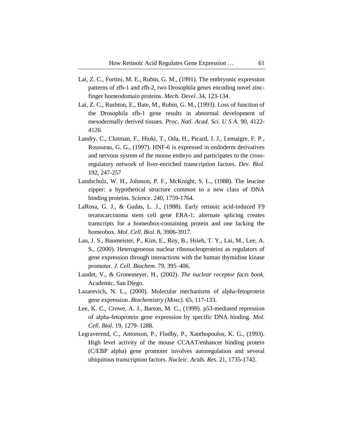- Lai, Z. C., Fortini, M. E., Rubin, G. M., (1991). The embryonic expression patterns of zfh-1 and zfh-2, two Drosophila genes encoding novel zincfinger homeodomain proteins. *Mech. Devel*. 34, 123-134.
- Lai, Z. C., Rushton, E., Bate, M., Rubin, G. M., (1993). Loss of function of the Drosophila zfh-1 gene results in abnormal development of mesodermally derived tissues. *Proc. Natl. Acad. Sci. U S A*. 90, 4122- 4126.
- Landry, C., Clotman, F., Hioki, T., Oda, H., Picard, J. J., Lemaigre, F. P., Rousseau, G. G., (1997). HNF-6 is expressed in endoderm derivatives and nervous system of the mouse embryo and participates to the crossregulatory network of liver-enriched transcription factors. *Dev. Biol*. 192, 247-257
- Landschulz, W. H., Johnson, P. F., McKnight, S. L., (1988). The leucine zipper: a hypothetical structure common to a new class of DNA binding proteins. *Science*. 240, 1759-1764.
- LaRosa, G. J., & Gudas, L. J., (1988). Early retinoic acid-induced F9 teratocarcinoma stem cell gene ERA-1: alternate splicing creates transcripts for a homeobox-containing protein and one lacking the homeobox. *Mol. Cell. Biol*. 8, 3906-3917.
- Lau, J. S., Baumeister, P., Kim, E., Roy, B., Hsieh, T. Y., Lai, M., Lee, A. S., (2000). Heterogeneous nuclear ribonucleoproteins as regulators of gene expression through interactions with the human thymidine kinase promoter. *J. Cell. Biochem*. 79, 395–406.
- Laudet, V., & Gronemeyer, H., (2002). *The nuclear receptor facts book.* Academic, San Diego.
- Lazarevich, N. L., (2000). Molecular mechanisms of alpha-fetoprotein gene expression. *Biochemistry (Mosc)*. 65, 117-133.
- Lee, K. C., Crowe, A. J., Barton, M. C., (1999). p53-mediated repression of alpha-fetoprotein gene expression by specific DNA binding. *Mol. Cell. Biol*. 19, 1279–1288.
- Legraverend, C., Antonson, P., Flodby, P., Xanthopoulos, K. G., (1993). High level activity of the mouse CCAAT/enhancer binding protein (C/EBP alpha) gene promoter involves autoregulation and several ubiquitous transcription factors. *Nucleic. Acids. Res*. 21, 1735-1742.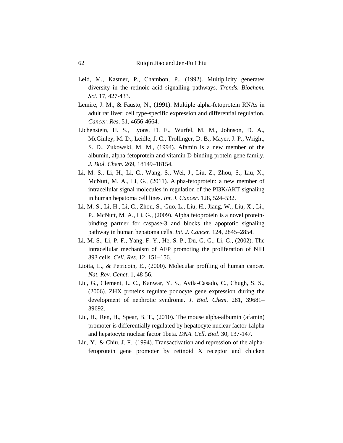- Leid, M., Kastner, P., Chambon, P., (1992). Multiplicity generates diversity in the retinoic acid signalling pathways. *Trends. Biochem. Sci*. 17, 427-433.
- Lemire, J. M., & Fausto, N., (1991). Multiple alpha-fetoprotein RNAs in adult rat liver: cell type-specific expression and differential regulation. *Cancer. Res*. 51, 4656-4664.
- Lichenstein, H. S., Lyons, D. E., Wurfel, M. M., Johnson, D. A., McGinley, M. D., Leidle, J. C., Trollinger, D. B., Mayer, J. P., Wright, S. D., Zukowski, M. M., (1994). Afamin is a new member of the albumin, alpha-fetoprotein and vitamin D-binding protein gene family. *J. Biol. Chem*. 269, 18149–18154.
- Li, M. S., Li, H., Li, C., Wang, S., Wei, J., Liu, Z., Zhou, S., Liu, X., McNutt, M. A., Li, G., (2011). Alpha-fetoprotein: a new member of intracellular signal molecules in regulation of the PI3K/AKT signaling in human hepatoma cell lines. *Int. J. Cancer*. 128, 524–532.
- Li, M. S., Li, H., Li, C., Zhou, S., Guo, L., Liu, H., Jiang, W., Liu, X., Li., P., McNutt, M. A., Li, G., (2009). Alpha fetoprotein is a novel proteinbinding partner for caspase-3 and blocks the apoptotic signaling pathway in human hepatoma cells. *Int. J. Cancer*. 124, 2845–2854.
- Li, M. S., Li, P. F., Yang, F. Y., He, S. P., Du, G. G., Li, G., (2002). The intracellular mechanism of AFP promoting the proliferation of NIH 393 cells. *Cell. Res*. 12, 151–156.
- Liotta, L., & Petricoin, E., (2000). Molecular profiling of human cancer. *Nat. Rev. Genet*. 1, 48-56.
- Liu, G., Clement, L. C., Kanwar, Y. S., Avila-Casado, C., Chugh, S. S., (2006). ZHX proteins regulate podocyte gene expression during the development of nephrotic syndrome. *J. Biol. Chem*. 281, 39681– 39692.
- Liu, H., Ren, H., Spear, B. T., (2010). The mouse alpha-albumin (afamin) promoter is differentially regulated by hepatocyte nuclear factor 1alpha and hepatocyte nuclear factor 1beta. *DNA. Cell. Biol*. 30, 137-147.
- Liu, Y., & Chiu, J. F., (1994). Transactivation and repression of the alphafetoprotein gene promoter by retinoid X receptor and chicken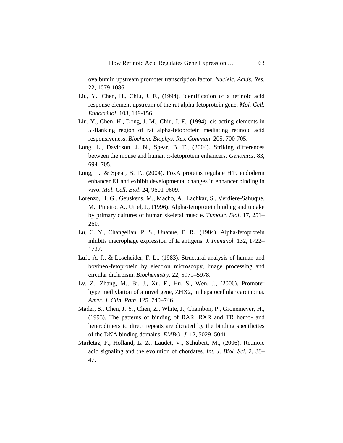ovalbumin upstream promoter transcription factor. *Nucleic. Acids. Res*. 22, 1079-1086.

- Liu, Y., Chen, H., Chiu, J. F., (1994). Identification of a retinoic acid response element upstream of the rat alpha-fetoprotein gene. *Mol. Cell. Endocrinol*. 103, 149-156.
- Liu, Y., Chen, H., Dong, J. M., Chiu, J. F., (1994). cis-acting elements in 5'-flanking region of rat alpha-fetoprotein mediating retinoic acid responsiveness. *Biochem. Biophys. Res. Commun*. 205, 700-705.
- Long, L., Davidson, J. N., Spear, B. T., (2004). Striking differences between the mouse and human α-fetoprotein enhancers. *Genomics*. 83, 694–705.
- Long, L., & Spear, B. T., (2004). FoxA proteins regulate H19 endoderm enhancer E1 and exhibit developmental changes in enhancer binding in vivo. *Mol. Cell. Biol*. 24, 9601-9609.
- Lorenzo, H. G., Geuskens, M., Macho, A., Lachkar, S., Verdiere-Sahuque, M., Pineiro, A., Uriel, J., (1996). Alpha-fetoprotein binding and uptake by primary cultures of human skeletal muscle. *Tumour. Biol*. 17, 251– 260.
- Lu, C. Y., Changelian, P. S., Unanue, E. R., (1984). Alpha-fetoprotein inhibits macrophage expression of Ia antigens. *J. Immunol*. 132, 1722– 1727.
- Luft, A. J., & Loscheider, F. L., (1983). Structural analysis of human and bovineα-fetoprotein by electron microscopy, image processing and circular dichroism. *Biochemistry*. 22, 5971–5978.
- Lv, Z., Zhang, M., Bi, J., Xu, F., Hu, S., Wen, J., (2006). Promoter hypermethylation of a novel gene, ZHX2, in hepatocellular carcinoma. *Amer. J. Clin. Path*. 125, 740–746.
- Mader, S., Chen, J. Y., Chen, Z., White, J., Chambon, P., Gronemeyer, H., (1993). The patterns of binding of RAR, RXR and TR homo- and heterodimers to direct repeats are dictated by the binding specificites of the DNA binding domains. *EMBO. J*. 12, 5029–5041.
- Marletaz, F., Holland, L. Z., Laudet, V., Schubert, M., (2006). Retinoic acid signaling and the evolution of chordates. *Int. J. Biol. Sci*. 2, 38– 47.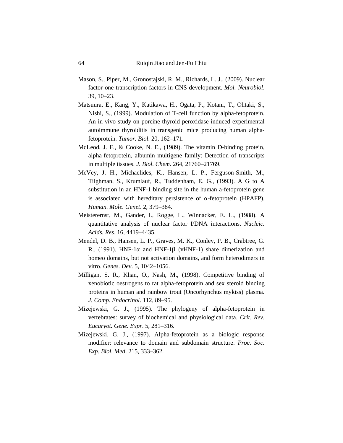- Mason, S., Piper, M., Gronostajski, R. M., Richards, L. J., (2009). Nuclear factor one transcription factors in CNS development. *Mol. Neurobiol*. 39, 10–23.
- Matsuura, E., Kang, Y., Katikawa, H., Ogata, P., Kotani, T., Ohtaki, S., Nishi, S., (1999). Modulation of T-cell function by alpha-fetoprotein. An in vivo study on porcine thyroid peroxidase induced experimental autoimmune thyroiditis in transgenic mice producing human alphafetoprotein. *Tumor. Biol*. 20, 162–171.
- McLeod, J. F., & Cooke, N. E., (1989). The vitamin D-binding protein, alpha-fetoprotein, albumin multigene family: Detection of transcripts in multiple tissues. *J. Biol. Chem*. 264, 21760–21769.
- McVey, J. H., Michaelides, K., Hansen, L. P., Ferguson-Smith, M., Tilghman, S., Krumlauf, R., Tuddenham, E. G., (1993). A G to A substitution in an HNF-1 binding site in the human a-fetoprotein gene is associated with hereditary persistence of α-fetoprotein (HPAFP). *Human. Mole. Genet*. 2, 379–384.
- Meisterernst, M., Gander, I., Rogge, L., Winnacker, E. L., (1988). A quantitative analysis of nuclear factor I/DNA interactions. *Nucleic. Acids. Res*. 16, 4419–4435.
- Mendel, D. B., Hansen, L. P., Graves, M. K., Conley, P. B., Crabtree, G. R., (1991). HNF-1 $\alpha$  and HNF-1 $\beta$  (vHNF-1) share dimerization and homeo domains, but not activation domains, and form heterodimers in vitro. *Genes. Dev*. 5, 1042–1056.
- Milligan, S. R., Khan, O., Nash, M., (1998). Competitive binding of xenobiotic oestrogens to rat alpha-fetoprotein and sex steroid binding proteins in human and rainbow trout (Oncorhynchus mykiss) plasma. *J. Comp. Endocrinol*. 112, 89–95.
- Mizejewski, G. J., (1995). The phylogeny of alpha-fetoprotein in vertebrates: survey of biochemical and physiological data. *Crit. Rev. Eucaryot. Gene. Expr*. 5, 281–316.
- Mizejewski, G. J., (1997). Alpha-fetoprotein as a biologic response modifier: relevance to domain and subdomain structure. *Proc. Soc. Exp. Biol. Med*. 215, 333–362.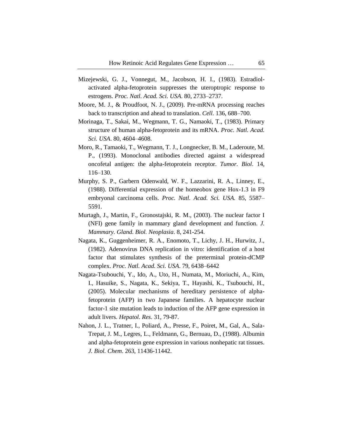- Mizejewski, G. J., Vonnegut, M., Jacobson, H. I., (1983). Estradiolactivated alpha-fetoprotein suppresses the uteroptropic response to estrogens. *Proc. Natl. Acad. Sci. USA*. 80, 2733–2737.
- Moore, M. J., & Proudfoot, N. J., (2009). Pre-mRNA processing reaches back to transcription and ahead to translation. *Cell*. 136, 688–700.
- Morinaga, T., Sakai, M., Wegmann, T. G., Namaoki, T., (1983). Primary structure of human alpha-fetoprotein and its mRNA. *Proc. Natl. Acad. Sci. USA*. 80, 4604–4608.
- Moro, R., Tamaoki, T., Wegmann, T. J., Longnecker, B. M., Laderoute, M. P., (1993). Monoclonal antibodies directed against a widespread oncofetal antigen: the alpha-fetoprotein receptor. *Tumor. Biol*. 14, 116–130.
- Murphy, S. P., Garbern Odenwald, W. F., Lazzarini, R. A., Linney, E., (1988). Differential expression of the homeobox gene Hox-1.3 in F9 embryonal carcinoma cells. *Proc. Natl. Acad. Sci. USA.* 85, 5587– 5591.
- Murtagh, J., Martin, F., Gronostajski, R. M., (2003). The nuclear factor I (NFI) gene family in mammary gland development and function. *J. Mammary. Gland. Biol. Neoplasia*. 8, 241-254.
- Nagata, K., Guggenheimer, R. A., Enomoto, T., Lichy, J. H., Hurwitz, J., (1982). Adenovirus DNA replication in vitro: identification of a host factor that stimulates synthesis of the preterminal protein-dCMP complex. *Proc. Natl. Acad. Sci. USA*. 79, 6438–6442
- Nagata-Tsubouchi, Y., Ido, A., Uto, H., Numata, M., Moriuchi, A., Kim, I., Hasuike, S., Nagata, K., Sekiya, T., Hayashi, K., Tsubouchi, H., (2005). Molecular mechanisms of hereditary persistence of alphafetoprotein (AFP) in two Japanese families. A hepatocyte nuclear factor-1 site mutation leads to induction of the AFP gene expression in adult livers. *Hepatol. Res*. 31, 79-87.
- Nahon, J. L., Tratner, I., Poliard, A., Presse, F., Poiret, M., Gal, A., Sala-Trepat, J. M., Legres, L., Feldmann, G., Bernuau, D., (1988). Albumin and alpha-fetoprotein gene expression in various nonhepatic rat tissues. *J. Biol. Chem*. 263, 11436-11442.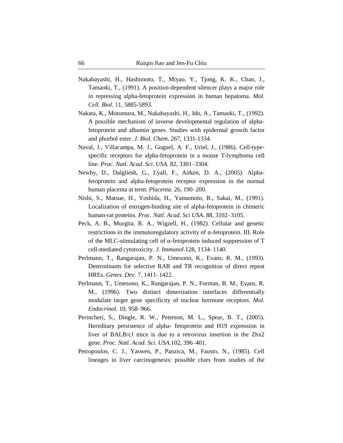- Nakabayashi, H., Hashimoto, T., Miyao, Y., Tjong, K. K., Chan, J., Tamaoki, T., (1991). A position-dependent silencer plays a major role in repressing alpha-fetoprotein expression in human hepatoma. *Mol. Cell. Biol*. 11, 5885-5893.
- Nakata, K., Motomura, M., Nakabayashi, H., Ido, A., Tamaoki, T., (1992). A possible mechanism of inverse developmental regulation of alphafetoprotein and albumin genes. Studies with epidermal growth factor and phorbol ester. *J. Biol. Chem*. 267, 1331-1334.
- Naval, J., Villacampa, M. J., Goguel, A. F., Uriel, J., (1986). Cell-typespecific receptors for alpha-fetoprotein in a mouse T-lymphoma cell line. *Proc. Natl. Acad. Sci. USA.* 82, 3301–3304.
- Newby, D., Dalgliesh, G., Lyall, F., Aitken, D. A., (2005). Alphafetoprotein and alpha-fetoprotein receptor expression in the normal human placenta at term. *Placenta*. 26, 190–200.
- Nishi, S., Matsue, H., Yoshida, H., Yamamoto, R., Sakai, M., (1991). Localization of estrogen-binding site of alpha-fetoprotein in chimeric human-rat proteins. *Proc. Natl. Acad. Sci USA*. 88, 3102–3105.
- Peck, A. B., Murgita, R. A., Wigzell, H., (1982). Cellular and genetic restrictions in the immunoregulatory activity of α-fetoprotein. III. Role of the MLC-stimulating cell of α-fetoprotein induced suppression of T cell-mediated cytotoxicity. *J. Immunol*.128, 1134–1140.
- Perlmann, T., Rangarajan, P. N., Umesono, K., Evans, R. M., (1993). Determinants for selective RAR and TR recognition of direct repeat HREs. *Genes. Dev*. 7, 1411–1422.
- Perlmann, T., Umesono, K., Rangarajan, P. N., Forman, B. M., Evans, R. M., (1996). Two distinct dimerization interfaces differentially modulate target gene specificity of nuclear hormone receptors. *Mol. Endocrinol*. 10, 958–966.
- Perincheri, S., Dingle, R. W., Peterson, M. L., Spear, B. T., (2005). Hereditary persistence of alpha- fetoprotein and H19 expression in liver of BALB/cJ mice is due to a retrovirus insertion in the Zhx2 gene. *Proc. Natl. Acad. Sci. USA*.102, 396–401.
- Petropoulos, C. J., Yaswen, P., Panzica, M., Fausto, N., (1985). Cell lineages in liver carcinogenesis: possible clues from studies of the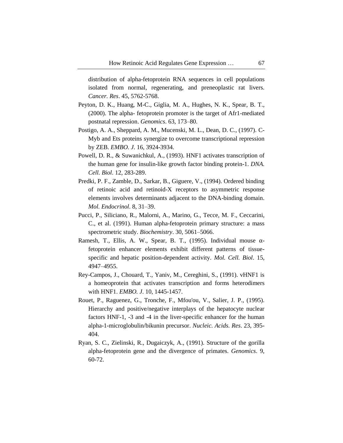distribution of alpha-fetoprotein RNA sequences in cell populations isolated from normal, regenerating, and preneoplastic rat livers. *Cancer. Res*. 45, 5762-5768.

- Peyton, D. K., Huang, M-C., Giglia, M. A., Hughes, N. K., Spear, B. T., (2000). The alpha- fetoprotein promoter is the target of Afr1-mediated postnatal repression. *Genomics*. 63, 173–80.
- Postigo, A. A., Sheppard, A. M., Mucenski, M. L., Dean, D. C., (1997). C-Myb and Ets proteins synergize to overcome transcriptional repression by ZEB. *EMBO. J*. 16, 3924-3934.
- Powell, D. R., & Suwanichkul, A., (1993). HNF1 activates transcription of the human gene for insulin-like growth factor binding protein-1. *DNA. Cell. Biol*. 12, 283-289.
- Predki, P. F., Zamble, D., Sarkar, B., Giguere, V., (1994). Ordered binding of retinoic acid and retinoid-X receptors to asymmetric response elements involves determinants adjacent to the DNA-binding domain. *Mol. Endocrinol*. 8, 31–39.
- Pucci, P., Siliciano, R., Malorni, A., Marino, G., Tecce, M. F., Ceccarini, C., et al. (1991). Human alpha-fetoprotein primary structure: a mass spectrometric study. *Biochemistry*. 30, 5061–5066.
- Ramesh, T., Ellis, A. W., Spear, B. T., (1995). Individual mouse  $α$ fetoprotein enhancer elements exhibit different patterns of tissuespecific and hepatic position-dependent activity. *Mol. Cell. Biol*. 15, 4947–4955.
- Rey-Campos, J., Chouard, T., Yaniv, M., Cereghini, S., (1991). vHNF1 is a homeoprotein that activates transcription and forms heterodimers with HNF1. *EMBO. J*. 10, 1445-1457.
- Rouet, P., Raguenez, G., Tronche, F., Mfou'ou, V., Salier, J. P., (1995). Hierarchy and positive/negative interplays of the hepatocyte nuclear factors HNF-1, -3 and -4 in the liver-specific enhancer for the human alpha-1-microglobulin/bikunin precursor. *Nucleic. Acids. Res*. 23, 395- 404.
- Ryan, S. C., Zielinski, R., Dugaiczyk, A., (1991). Structure of the gorilla alpha-fetoprotein gene and the divergence of primates. *Genomics*. 9, 60-72.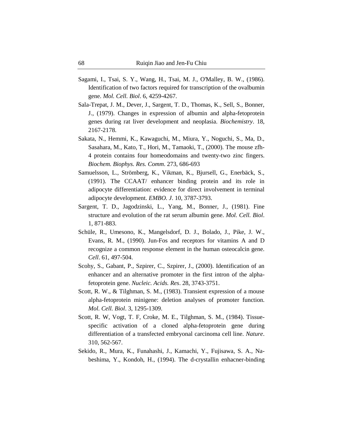- Sagami, I., Tsai, S. Y., Wang, H., Tsai, M. J., O'Malley, B. W., (1986). Identification of two factors required for transcription of the ovalbumin gene. *Mol. Cell. Biol*. 6, 4259-4267.
- Sala-Trepat, J. M., Dever, J., Sargent, T. D., Thomas, K., Sell, S., Bonner, J., (1979). Changes in expression of albumin and alpha-fetoprotein genes during rat liver development and neoplasia. *Biochemistry*. 18, 2167-2178.
- Sakata, N., Hemmi, K., Kawaguchi, M., Miura, Y., Noguchi, S., Ma, D., Sasahara, M., Kato, T., Hori, M., Tamaoki, T., (2000). The mouse zfh-4 protein contains four homeodomains and twenty-two zinc fingers. *Biochem. Biophys. Res. Comm*. 273, 686-693
- Samuelsson, L., Strömberg, K., Vikman, K., Bjursell, G., Enerbäck, S., (1991). The CCAAT/ enhancer binding protein and its role in adipocyte differentiation: evidence for direct involvement in terminal adipocyte development. *EMBO. J*. 10, 3787-3793.
- Sargent, T. D., Jagodzinski, L., Yang, M., Bonner, J., (1981). Fine structure and evolution of the rat serum albumin gene. *Mol. Cell. Biol*. 1, 871-883.
- Schüle, R., Umesono, K., Mangelsdorf, D. J., Bolado, J., Pike, J. W., Evans, R. M., (1990). Jun-Fos and receptors for vitamins A and D recognize a common response element in the human osteocalcin gene. *Cell*. 61, 497-504.
- Scohy, S., Gabant, P., Szpirer, C., Szpirer, J., (2000). Identification of an enhancer and an alternative promoter in the first intron of the alphafetoprotein gene. *Nucleic. Acids. Res*. 28, 3743-3751.
- Scott, R. W., & Tilghman, S. M., (1983). Transient expression of a mouse alpha-fetoprotein minigene: deletion analyses of promoter function. *Mol. Cell. Biol*. 3, 1295-1309.
- Scott, R. W, Vogt, T. F, Croke, M. E., Tilghman, S. M., (1984). Tissuespecific activation of a cloned alpha-fetoprotein gene during differentiation of a transfected embryonal carcinoma cell line. *Nature*. 310, 562-567.
- Sekido, R., Mura, K., Funahashi, J., Kamachi, Y., Fujisawa, S. A., Nabeshima, Y., Kondoh, H., (1994). The d-crystallin enhacner-binding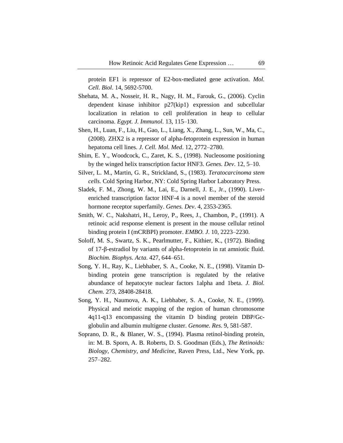protein EF1 is repressor of E2-box-mediated gene activation. *Mol. Cell. Biol*. 14, 5692-5700.

- Shehata, M. A., Nosseir, H. R., Nagy, H. M., Farouk, G., (2006). Cyclin dependent kinase inhibitor p27(kip1) expression and subcellular localization in relation to cell proliferation in heap to cellular carcinoma. *Egypt. J. Immunol*. 13, 115–130.
- Shen, H., Luan, F., Liu, H., Gao, L., Liang, X., Zhang, L., Sun, W., Ma, C., (2008). ZHX2 is a repressor of alpha-fetoprotein expression in human hepatoma cell lines. *J. Cell. Mol. Med*. 12, 2772–2780.
- Shim, E. Y., Woodcock, C., Zaret, K. S., (1998). Nucleosome positioning by the winged helix transcription factor HNF3. *Genes. Dev*. 12, 5–10.
- Silver, L. M., Martin, G. R., Strickland, S., (1983). *Teratocarcinoma stem cells.* Cold Spring Harbor, NY: Cold Spring Harbor Laboratory Press.
- Sladek, F. M., Zhong, W. M., Lai, E., Darnell, J. E., Jr., (1990). Liverenriched transcription factor HNF-4 is a novel member of the steroid hormone receptor superfamily. *Genes. Dev*. 4, 2353-2365.
- Smith, W. C., Nakshatri, H., Leroy, P., Rees, J., Chambon, P., (1991). A retinoic acid response element is present in the mouse cellular retinol binding protein I (mCRBPI) promoter. *EMBO. J*. 10, 2223–2230.
- Soloff, M. S., Swartz, S. K., Pearlmutter, F., Kithier, K., (1972). Binding of 17-β-estradiol by variants of alpha-fetoprotein in rat amniotic fluid. *Biochim. Biophys. Acta*. 427, 644–651.
- Song, Y. H., Ray, K., Liebhaber, S. A., Cooke, N. E., (1998). Vitamin Dbinding protein gene transcription is regulated by the relative abundance of hepatocyte nuclear factors 1alpha and 1beta. *J. Biol. Chem*. 273, 28408-28418.
- Song, Y. H., Naumova, A. K., Liebhaber, S. A., Cooke, N. E., (1999). Physical and meiotic mapping of the region of human chromosome 4q11-q13 encompassing the vitamin D binding protein DBP/Gcglobulin and albumin multigene cluster. *Genome. Res*. 9, 581-587.
- Soprano, D. R., & Blaner, W. S., (1994). Plasma retinol-binding protein, in: M. B. Sporn, A. B. Roberts, D. S. Goodman (Eds.), *The Retinoids: Biology, Chemistry, and Medicine*, Raven Press, Ltd., New York, pp. 257–282.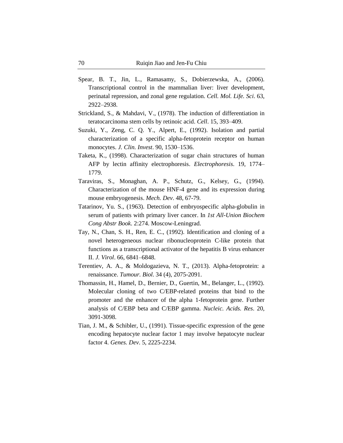- Spear, B. T., Jin, L., Ramasamy, S., Dobierzewska, A., (2006). Transcriptional control in the mammalian liver: liver development, perinatal repression, and zonal gene regulation. *Cell. Mol. Life. Sci*. 63, 2922–2938.
- Strickland, S., & Mahdavi, V., (1978). The induction of differentiation in teratocarcinoma stem cells by retinoic acid. *Cell*. 15, 393–409.
- Suzuki, Y., Zeng, C. Q. Y., Alpert, E., (1992). Isolation and partial characterization of a specific alpha-fetoprotein receptor on human monocytes. *J. Clin. Invest*. 90, 1530–1536.
- Taketa, K., (1998). Characterization of sugar chain structures of human AFP by lectin affinity electrophoresis. *Electrophoresis*. 19, 1774– 1779.
- Taraviras, S., Monaghan, A. P., Schutz, G., Kelsey, G., (1994). Characterization of the mouse HNF-4 gene and its expression during mouse embryogenesis. *Mech. Dev*. 48, 67-79.
- Tatarinov, Yu. S., (1963). Detection of embryospecific alpha-globulin in serum of patients with primary liver cancer. In *1st All-Union Biochem Cong Abstr Book*. 2:274. Moscow-Leningrad.
- Tay, N., Chan, S. H., Ren, E. C., (1992). Identification and cloning of a novel heterogeneous nuclear ribonucleoprotein C-like protein that functions as a transcriptional activator of the hepatitis B virus enhancer II. *J. Virol*. 66, 6841–6848.
- Terentiev, A. A., & Moldogazieva, N. T., (2013). Alpha-fetoprotein: a renaissance. *Tumour. Biol*. 34 (4), 2075-2091.
- Thomassin, H., Hamel, D., Bernier, D., Guertin, M., Belanger, L., (1992). Molecular cloning of two C/EBP-related proteins that bind to the promoter and the enhancer of the alpha 1-fetoprotein gene. Further analysis of C/EBP beta and C/EBP gamma. *Nucleic. Acids. Res*. 20, 3091-3098.
- Tian, J. M., & Schibler, U., (1991). Tissue-specific expression of the gene encoding hepatocyte nuclear factor 1 may involve hepatocyte nuclear factor 4. *Genes. Dev*. 5, 2225-2234.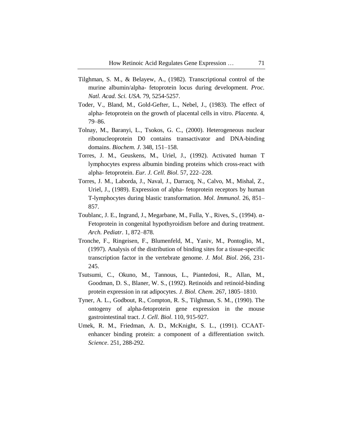- Tilghman, S. M., & Belayew, A., (1982). Transcriptional control of the murine albumin/alpha- fetoprotein locus during development. *Proc. Natl. Acad. Sci. USA*. 79, 5254-5257.
- Toder, V., Bland, M., Gold-Gefter, L., Nebel, J., (1983). The effect of alpha- fetoprotein on the growth of placental cells in vitro. *Placenta*. 4, 79–86.
- Tolnay, M., Baranyi, L., Tsokos, G. C., (2000). Heterogeneous nuclear ribonucleoprotein D0 contains transactivator and DNA-binding domains. *Biochem. J*. 348, 151–158.
- Torres, J. M., Geuskens, M., Uriel, J., (1992). Activated human T lymphocytes express albumin binding proteins which cross-react with alpha- fetoprotein. *Eur. J. Cell. Biol*. 57, 222–228.
- Torres, J. M., Laborda, J., Naval, J., Darracq, N., Calvo, M., Mishal, Z., Uriel, J., (1989). Expression of alpha- fetoprotein receptors by human T-lymphocytes during blastic transformation. *Mol. Immunol*. 26, 851– 857.
- Toublanc, J. E., Ingrand, J., Megarbane, M., Fulla, Y., Rives, S., (1994). α-Fetoprotein in congenital hypothyroidism before and during treatment. *Arch. Pediatr*. 1, 872–878.
- Tronche, F., Ringeisen, F., Blumenfeld, M., Yaniv, M., Pontoglio, M., (1997). Analysis of the distribution of binding sites for a tissue-specific transcription factor in the vertebrate genome. *J. Mol. Biol*. 266, 231- 245.
- Tsutsumi, C., Okuno, M., Tannous, L., Piantedosi, R., Allan, M., Goodman, D. S., Blaner, W. S., (1992). Retinoids and retinoid-binding protein expression in rat adipocytes. *J. Biol. Chem*. 267, 1805–1810.
- Tyner, A. L., Godbout, R., Compton, R. S., Tilghman, S. M., (1990). The ontogeny of alpha-fetoprotein gene expression in the mouse gastrointestinal tract. *J. Cell. Biol*. 110, 915-927.
- Umek, R. M., Friedman, A. D., McKnight, S. L., (1991). CCAATenhancer binding protein: a component of a differentiation switch. *Science*. 251, 288-292.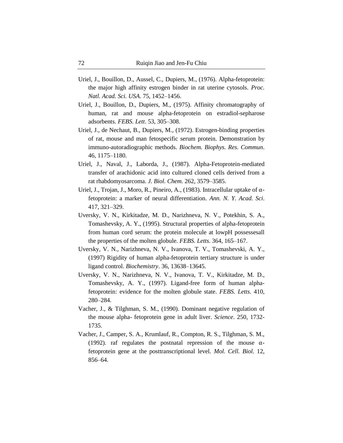- Uriel, J., Bouillon, D., Aussel, C., Dupiers, M., (1976). Alpha-fetoprotein: the major high affinity estrogen binder in rat uterine cytosols. *Proc. Natl. Acad. Sci. USA*. 75, 1452–1456.
- Uriel, J., Bouillon, D., Dupiers, M., (1975). Affinity chromatography of human, rat and mouse alpha-fetoprotein on estradiol-sepharose adsorbents. *FEBS. Lett*. 53, 305–308.
- Uriel, J., de Nechaut, B., Dupiers, M., (1972). Estrogen-binding properties of rat, mouse and man fetospecific serum protein. Demonstration by immuno-autoradiographic methods. *Biochem. Biophys. Res. Commun*. 46, 1175–1180.
- Uriel, J., Naval, J., Laborda, J., (1987). Alpha-Fetoprotein-mediated transfer of arachidonic acid into cultured cloned cells derived from a rat rhabdomyosarcoma. *J. Biol. Chem*. 262, 3579–3585.
- Uriel, J., Trojan, J., Moro, R., Pineiro, A., (1983). Intracellular uptake of αfetoprotein: a marker of neural differentiation. *Ann. N. Y. Acad. Sci*. 417, 321–329.
- Uversky, V. N., Kirkitadze, M. D., Narizhneva, N. V., Potekhin, S. A., Tomashevsky, A. Y., (1995). Structural properties of alpha-fetoprotein from human cord serum: the protein molecule at lowpH possessesall the properties of the molten globule. *FEBS. Letts*. 364, 165–167.
- Uversky, V. N., Narizhneva, N. V., Ivanova, T. V., Tomashevski, A. Y., (1997) Rigidity of human alpha-fetoprotein tertiary structure is under ligand control. *Biochemistry*. 36, 13638–13645.
- Uversky, V. N., Narizhneva, N. V., Ivanova, T. V., Kirkitadze, M. D., Tomashevsky, A. Y., (1997). Ligand-free form of human alphafetoprotein: evidence for the molten globule state. *FEBS. Letts*. 410, 280–284.
- Vacher, J., & Tilghman, S. M., (1990). Dominant negative regulation of the mouse alpha- fetoprotein gene in adult liver. *Science*. 250, 1732- 1735.
- Vacher, J., Camper, S. A., Krumlauf, R., Compton, R. S., Tilghman, S. M., (1992). raf regulates the postnatal repression of the mouse  $\alpha$ fetoprotein gene at the posttranscriptional level. *Mol. Cell. Biol.* 12, 856–64.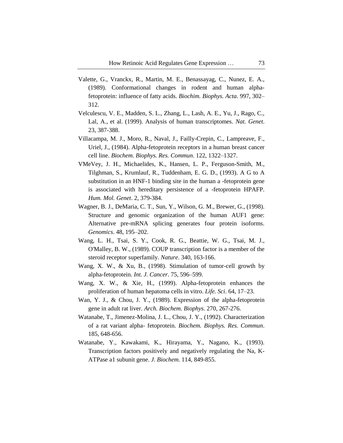- Valette, G., Vranckx, R., Martin, M. E., Benassayag, C., Nunez, E. A., (1989). Conformational changes in rodent and human alphafetoprotein: influence of fatty acids. *Biochim. Biophys. Acta*. 997, 302– 312.
- Velculescu, V. E., Madden, S. L., Zhang, L., Lash, A. E., Yu, J., Rago, C., Lal, A., et al. (1999). Analysis of human transcriptomes. *Nat. Genet*. 23, 387-388.
- Villacampa, M. J., Moro, R., Naval, J., Failly-Crepin, C., Lampreave, F., Uriel, J., (1984). Alpha-fetoprotein receptors in a human breast cancer cell line. *Biochem. Biophys. Res. Commun*. 122, 1322–1327.
- VMeVey, J. H., Michaelides, K., Hansen, L. P., Ferguson-Smith, M., Tilghman, S., Krumlauf, R., Tuddenham, E. G. D., (1993). A G to A substitution in an HNF-1 binding site in the human a -fetoprotein gene is associated with hereditary persistence of a -fetoprotein HPAFP. *Hum. Mol. Genet*. 2, 379-384.
- Wagner, B. J., DeMaria, C. T., Sun, Y., Wilson, G. M., Brewer, G., (1998). Structure and genomic organization of the human AUF1 gene: Alternative pre-mRNA splicing generates four protein isoforms. *Genomics*. 48, 195–202.
- Wang, L. H., Tsai, S. Y., Cook, R. G., Beattie, W. G., Tsai, M. J., O'Malley, B. W., (1989). COUP transcription factor is a member of the steroid receptor superfamily. *Nature*. 340, 163-166.
- Wang, X. W., & Xu, B., (1998). Stimulation of tumor-cell growth by alpha-fetoprotein. *Int. J. Cancer*. 75, 596–599.
- Wang, X. W., & Xie, H., (1999). Alpha-fetoprotein enhances the proliferation of human hepatoma cells in vitro. *Life. Sci*. 64, 17–23.
- Wan, Y. J., & Chou, J. Y., (1989). Expression of the alpha-fetoprotein gene in adult rat liver. *Arch. Biochem. Biophys*. 270, 267-276.
- Watanabe, T., Jimenez-Molina, J. L., Chou, J. Y., (1992). Characterization of a rat variant alpha- fetoprotein. *Biochem. Biophys. Res. Commun*. 185, 648-656.
- Watanabe, Y., Kawakami, K., Hirayama, Y., Nagano, K., (1993). Transcription factors positively and negatively regulating the Na, K-ATPase a1 subunit gene. *J. Biochem*. 114, 849-855.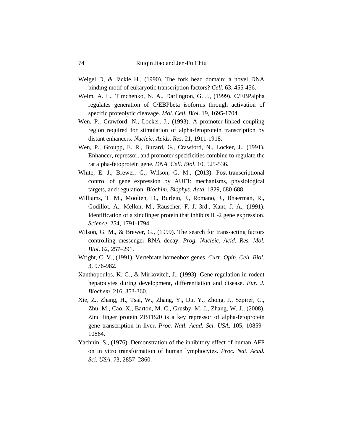- Weigel D, & Jäckle H., (1990). The fork head domain: a novel DNA binding motif of eukaryotic transcription factors? *Cell*. 63, 455-456.
- Welm, A. L., Timchenko, N. A., Darlington, G. J., (1999). C/EBPalpha regulates generation of C/EBPbeta isoforms through activation of specific proteolytic cleavage. *Mol. Cell. Biol*. 19, 1695-1704.
- Wen, P., Crawford, N., Locker, J., (1993). A promoter-linked coupling region required for stimulation of alpha-fetoprotein transcription by distant enhancers. *Nucleic. Acids. Res*. 21, 1911-1918.
- Wen, P., Groupp, E. R., Buzard, G., Crawford, N., Locker, J., (1991). Enhancer, repressor, and promoter specificities combine to regulate the rat alpha-fetoprotein gene. *DNA. Cell. Biol*. 10, 525-536.
- White, E. J., Brewer, G., Wilson, G. M., (2013). Post-transcriptional control of gene expression by AUF1: mechanisms, physiological targets, and regulation. *Biochim. Biophys. Acta*. 1829, 680-688.
- Williams, T. M., Moolten, D., Burlein, J., Romano, J., Bhaerman, R., Godillot, A., Mellon, M., Rauscher, F. J. 3rd., Kant, J. A., (1991). Identification of a zincfinger protein that inhibits IL-2 gene expression. *Science*. 254, 1791-1794.
- Wilson, G. M., & Brewer, G., (1999). The search for trans-acting factors controlling messenger RNA decay. *Prog. Nucleic. Acid. Res. Mol. Biol*. 62, 257–291.
- Wright, C. V., (1991). Vertebrate homeobox genes. *Curr. Opin. Cell. Biol.* 3, 976-982.
- Xanthopoulos, K. G., & Mirkovitch, J., (1993). Gene regulation in rodent hepatocytes during development, differentiation and disease. *Eur. J. Biochem*. 216, 353-360.
- Xie, Z., Zhang, H., Tsai, W., Zhang, Y., Du, Y., Zhong, J., Szpirer, C., Zhu, M., Cao, X., Barton, M. C., Grusby, M. J., Zhang, W. J., (2008). Zinc finger protein ZBTB20 is a key repressor of alpha-fetoprotein gene transcription in liver. *Proc. Natl. Acad. Sci. USA*. 105, 10859– 10864.
- Yachnin, S., (1976). Demonstration of the inhibitory effect of human AFP on in vitro transformation of human lymphocytes. *Proc. Nat. Acad. Sci. USA*. 73, 2857–2860.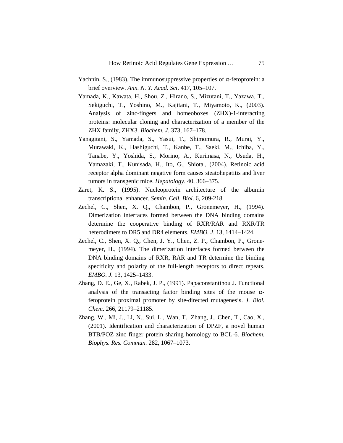- Yachnin, S., (1983). The immunosuppressive properties of α-fetoprotein: a brief overview. *Ann. N. Y. Acad. Sci*. 417, 105–107.
- Yamada, K., Kawata, H., Shou, Z., Hirano, S., Mizutani, T., Yazawa, T., Sekiguchi, T., Yoshino, M., Kajitani, T., Miyamoto, K., (2003). Analysis of zinc-fingers and homeoboxes (ZHX)-1-interacting proteins: molecular cloning and characterization of a member of the ZHX family, ZHX3. *Biochem. J*. 373, 167–178.
- Yanagitani, S., Yamada, S., Yasui, T., Shimomura, R., Murai, Y., Murawaki, K., Hashiguchi, T., Kanbe, T., Saeki, M., Ichiba, Y., Tanabe, Y., Yoshida, S., Morino, A., Kurimasa, N., Usuda, H., Yamazaki, T., Kunisada, H., Ito, G., Shiota., (2004). Retinoic acid receptor alpha dominant negative form causes steatohepatitis and liver tumors in transgenic mice. *Hepatology*. 40, 366–375.
- Zaret, K. S., (1995). Nucleoprotein architecture of the albumin transcriptional enhancer. *Semin. Cell. Biol*. 6, 209-218.
- Zechel, C., Shen, X. Q., Chambon, P., Gronemeyer, H., (1994). Dimerization interfaces formed between the DNA binding domains determine the cooperative binding of RXR/RAR and RXR/TR heterodimers to DR5 and DR4 elements. *EMBO. J*. 13, 1414–1424.
- Zechel, C., Shen, X. Q., Chen, J. Y., Chen, Z. P., Chambon, P., Gronemeyer, H., (1994). The dimerization interfaces formed between the DNA binding domains of RXR, RAR and TR determine the binding specificity and polarity of the full-length receptors to direct repeats. *EMBO. J.* 13, 1425–1433.
- Zhang, D. E., Ge, X., Rabek, J. P., (1991). Papaconstantinou J. Functional analysis of the transacting factor binding sites of the mouse  $\alpha$ fetoprotein proximal promoter by site-directed mutagenesis. *J. Biol. Chem*. 266, 21179–21185.
- Zhang, W., Mi, J., Li, N., Sui, L., Wan, T., Zhang, J., Chen, T., Cao, X., (2001). Identification and characterization of DPZF, a novel human BTB/POZ zinc finger protein sharing homology to BCL-6. *Biochem. Biophys. Res. Commun.* 282, 1067–1073.